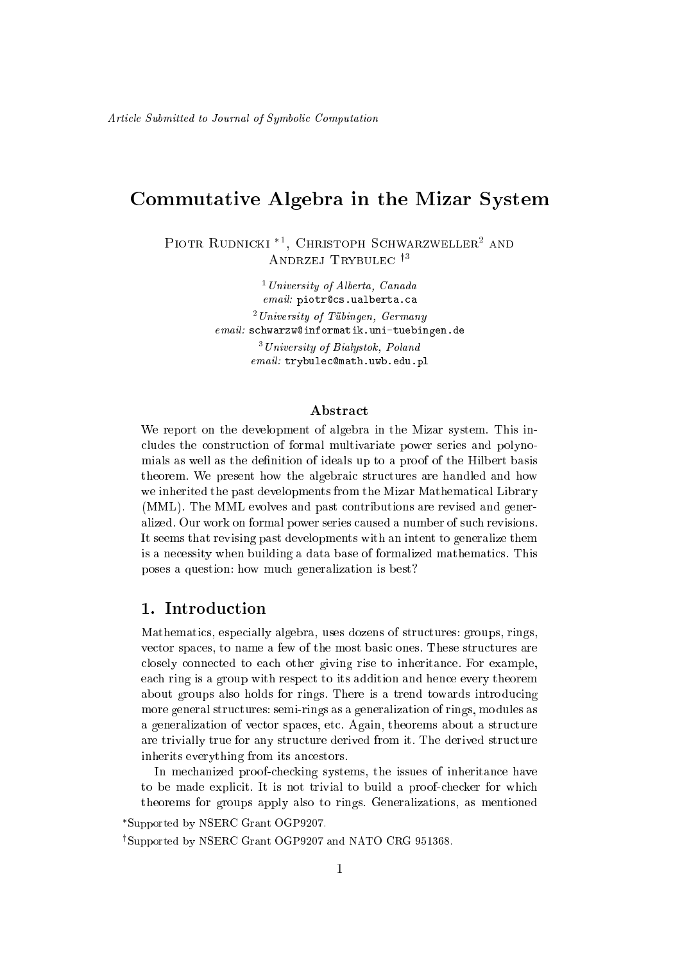# Commutative Algebra in the Mizar System

Piotr Rudnicki \*', Christoph Schwarzweller<sup>2</sup> and ANDRZEJ TRYBULEC<sup> $13$ </sup>

> <sup>1</sup> University of Alberta, Canada email: piotr@cs.ualberta.ca  $^{2}$  University of Tübingen, Germany email: schwarzw@informatik.uni-tuebingen.de  $3$  University of Białystok, Poland email: trybulec@math.uwb.edu.pl

#### **Abstract**

We report on the development of algebra in the Mizar system. This in cludes the construction of formal multivariate power series and polynomials as well as the definition of ideals up to a proof of the Hilbert basis theorem. We present how the algebraic structures are handled and how we inherited the past developments from the Mizar Mathematical Library (MML). The MML evolves and past ontributions are revised and generalized. Our work on formal power series aused a number of su
h revisions. It seems that revising past developments with an intent to generalize them is a ne
essity when building a data base of formalized mathemati
s. This poses a question: how mu
h generalization is best?

### 1. Introduction

Mathematics, especially algebra, uses dozens of structures: groups, rings, vector spaces, to name a few of the most basic ones. These structures are closely connected to each other giving rise to inheritance. For example, ea
h ring is a group with respe
t to its addition and hen
e every theorem about groups also holds for rings. There is a trend towards introdu
ing more general stru
tures: semi-rings as a generalization of rings, modules as a generalization of vector spaces, etc. Again, theorems about a structure are trivially true for any structure derived from it. The derived structure inherits everything from its an
estors.

In mechanized proof-checking systems, the issues of inheritance have to be made explicit. It is not trivial to build a proof-checker for which theorems for groups apply also to rings. Generalizations, as mentioned

Supported by NSERC Grant OGP9207.

<sup>†</sup>Supported by NSERC Grant OGP9207 and NATO CRG 951368.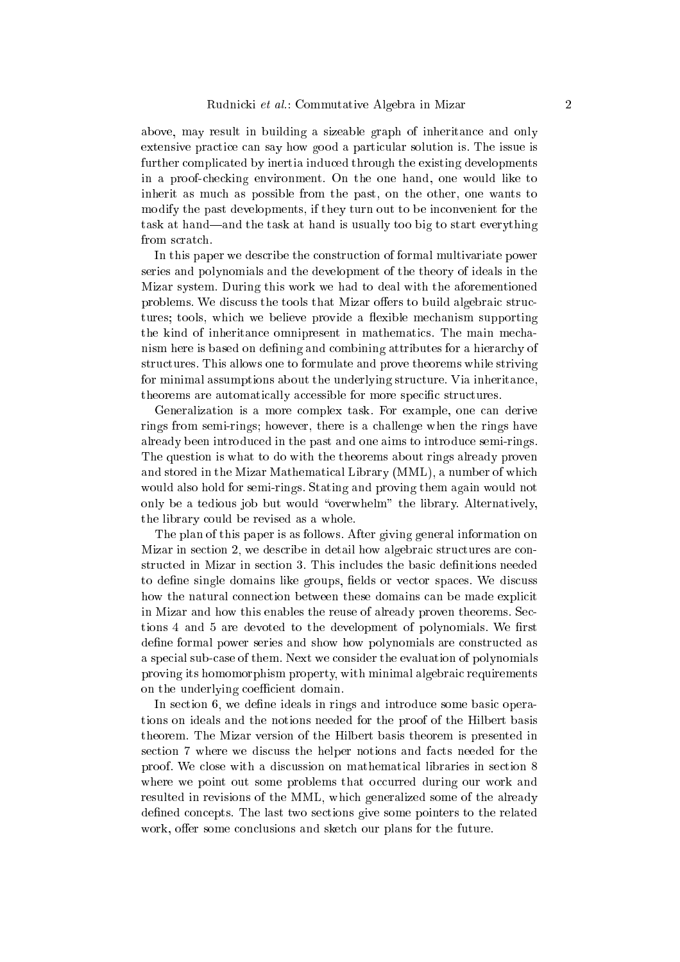above, may result in building a sizeable graph of inheritan
e and only extensive practice can say how good a particular solution is. The issue is further ompli
ated by inertia indu
ed through the existing developments in a proofhe
king environment. On the one hand, one would like to inherit as mu
h as possible from the past, on the other, one wants to modify the past developments, if they turn out to be inconvenient for the task at hand—and the task at hand is usually too big to start everything from scratch.

In this paper we describe the construction of formal multivariate power series and polynomials and the development of the theory of ideals in the Mizar system. During this work we had to deal with the aforementioned problems. We discuss the tools that Mizar offers to build algebraic structures; tools, which we believe provide a flexible mechanism supporting the kind of inheritan
e omnipresent in mathemati
s. The main me
hanism here is based on defining and combining attributes for a hierarchy of structures. This allows one to formulate and prove theorems while striving for minimal assumptions about the underlying structure. Via inheritance, theorems are automatically accessible for more specific structures.

Generalization is a more complex task. For example, one can derive rings from semi-rings; however, there is a hallenge when the rings have already been introdu
ed in the past and one aims to introdu
e semi-rings. The question is what to do with the theorems about rings already proven and stored in the Mizar Mathemati
al Library (MML), a number of whi
h would also hold for semi-rings. Stating and proving them again would not only be a tedious job but would "overwhelm" the library. Alternatively, the library ould be revised as a whole.

The plan of this paper is as follows. After giving general information on Mizar in section 2, we describe in detail how algebraic structures are constructed in Mizar in section 3. This includes the basic definitions needed to define single domains like groups, fields or vector spaces. We discuss how the natural connection between these domains can be made explicit in Mizar and how this enables the reuse of already proven theorems. Se
 tions 4 and 5 are devoted to the development of polynomials. We first define formal power series and show how polynomials are constructed as a special sub-case of them. Next we consider the evaluation of polynomials proving its homomorphism property, with minimal algebraic requirements on the underlying coefficient domain.

In section 6, we define ideals in rings and introduce some basic operations on ideals and the notions needed for the proof of the Hilbert basis theorem. The Mizar version of the Hilbert basis theorem is presented in section 7 where we discuss the helper notions and facts needed for the proof. We close with a discussion on mathematical libraries in section 8 where we point out some problems that occurred during our work and resulted in revisions of the MML, whi
h generalized some of the already defined concepts. The last two sections give some pointers to the related work, offer some conclusions and sketch our plans for the future.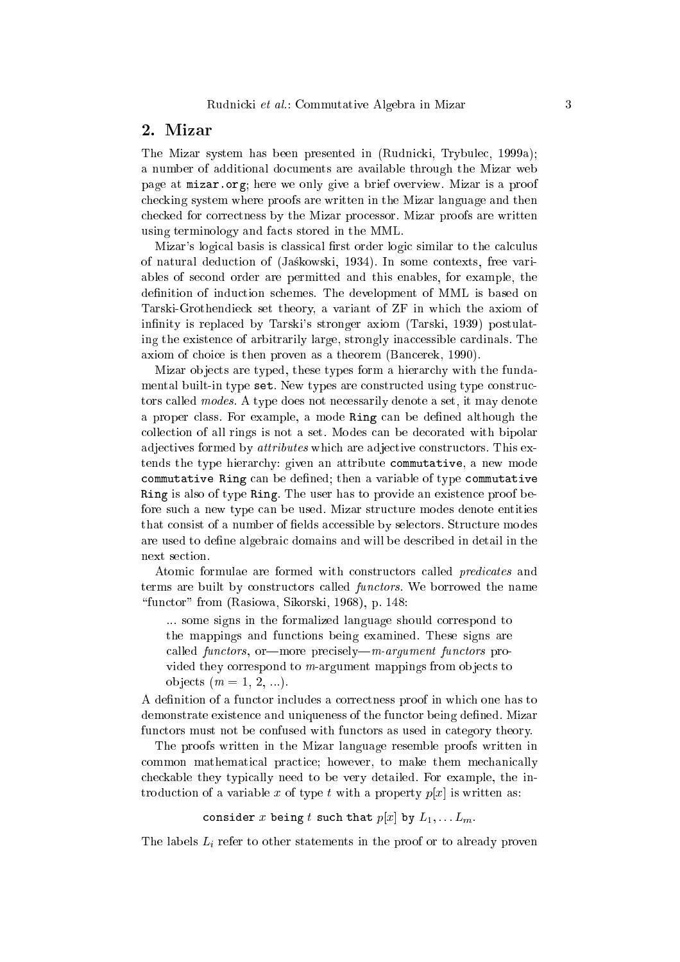## 2. Mizar

The Mizar system has been presented in (Rudni
ki, Trybule
, 1999a); a number of additional documents are available through the Mizar web page at mizar.org; here we only give a brief overview. Mizar is a proof he
king system where proofs are written in the Mizar language and then he
ked for orre
tness by the Mizar pro
essor. Mizar proofs are written using terminology and facts stored in the MML.

Mizar's logical basis is classical first order logic similar to the calculus of natural dedu
tion of (Jaskowski, 1934). In some ontexts, free variables of se
ond order are permitted and this enables, for example, the definition of induction schemes. The development of MML is based on Tarski-Grothendie
k set theory, a variant of ZF in whi
h the axiom of infinity is replaced by Tarski's stronger axiom (Tarski, 1939) postulating the existence of arbitrarily large, strongly inaccessible cardinals. The axiom of hoi
e is then proven as a theorem (Ban
erek, 1990).

Mizar objects are typed, these types form a hierarchy with the fundamental built-in type set. New types are constructed using type constructors alled modes. A type does not ne
essarily denote a set, it may denote a proper class. For example, a mode Ring can be defined although the olle
tion of all rings is not a set. Modes an be de
orated with bipolar adjectives formed by *attributes* which are adjective constructors. This extends the type hierar
hy: given an attribute ommutative, a new mode commutative Ring can be defined; then a variable of type commutative Ring is also of type Ring. The user has to provide an existen
e proof before su
h a new type an be used. Mizar stru
ture modes denote entities that consist of a number of fields accessible by selectors. Structure modes are used to define algebraic domains and will be described in detail in the next section.

Atomic formulae are formed with constructors called *predicates* and terms are built by constructors called *functors*. We borrowed the name "functor" from (Rasiowa, Sikorski, 1968), p. 148:

... some signs in the formalized language should correspond to the mappings and fun
tions being examined. These signs are called functors, or more precisely - m-argument functors provided they correspond to  $m$ -argument mappings from objects to objects  $(m = 1, 2, ...).$ 

A definition of a functor includes a correctness proof in which one has to demonstrate existence and uniqueness of the functor being defined. Mizar functors must not be confused with functors as used in category theory.

The proofs written in the Mizar language resemble proofs written in common mathematical practice; however, to make them mechanically checkable they typically need to be very detailed. For example, the introduction of a variable x of type t with a property  $p[x]$  is written as:

consider x being t such that  $p[x]$  by  $L_1, \ldots L_m$ .

The labels  $L_i$  refer to other statements in the proof or to already proven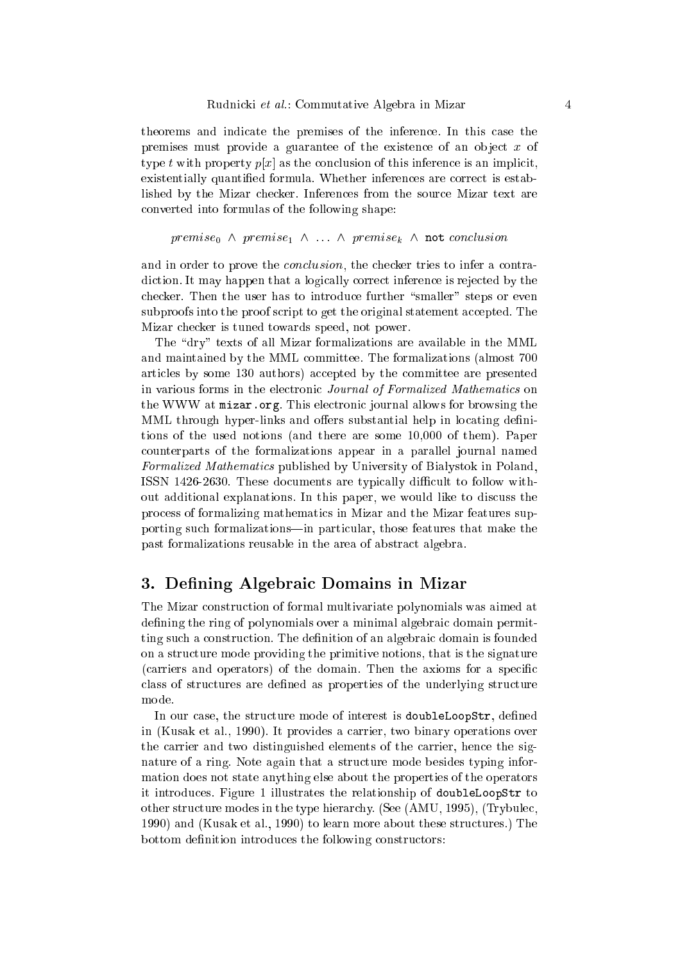theorems and indicate the premises of the inference. In this case the premises must provide a guarantee of the existence of an object  $x$  of type t with property  $p[x]$  as the conclusion of this inference is an implicit, existentially quantified formula. Whether inferences are correct is established by the Mizar checker. Inferences from the source Mizar text are onverted into formulas of the following shape:

premise<sub>0</sub>  $\land$  premise<sub>1</sub>  $\land \dots \land$  premise<sub>k</sub>  $\land$  not conclusion

and in order to prove the *conclusion*, the checker tries to infer a contradiction. It may happen that a logically correct inference is rejected by the checker. Then the user has to introduce further "smaller" steps or even subproofs into the proof script to get the original statement accepted. The Mizar he
ker is tuned towards speed, not power.

The "dry" texts of all Mizar formalizations are available in the MML and maintained by the MML ommittee. The formalizations (almost 700 articles by some 130 authors) accepted by the committee are presented in various forms in the electronic Journal of Formalized Mathematics on the WWW at mizar.org. This electronic journal allows for browsing the MML through hyper-links and offers substantial help in locating definitions of the used notions (and there are some 10,000 of them). Paper ounterparts of the formalizations appear in a parallel journal named Formalized Mathematics published by University of Białystok in Poland, ISSN 1426-2630. These documents are typically difficult to follow without additional explanations. In this paper, we would like to discuss the pro
ess of formalizing mathemati
s in Mizar and the Mizar features supporting su
h formalizations|in parti
ular, those features that make the past formalizations reusable in the area of abstra
t algebra.

## 3. Defining Algebraic Domains in Mizar

The Mizar onstru
tion of formal multivariate polynomials was aimed at defining the ring of polynomials over a minimal algebraic domain permitting such a construction. The definition of an algebraic domain is founded on a structure mode providing the primitive notions, that is the signature (carriers and operators) of the domain. Then the axioms for a specific class of structures are defined as properties of the underlying structure mode.

In our case, the structure mode of interest is doubleLoopStr, defined in (Kusak et al., 1990). It provides a arrier, two binary operations over the arrier and two distinguished elements of the arrier, hen
e the signature of a ring. Note again that a structure mode besides typing information does not state anything else about the properties of the operators it introdu
es. Figure 1 illustrates the relationship of doubleLoopStr to other structure modes in the type hierarchy. (See (AMU, 1995), (Trybulec, 1990) and (Kusak et al., 1990) to learn more about these structures.) The bottom definition introduces the following constructors: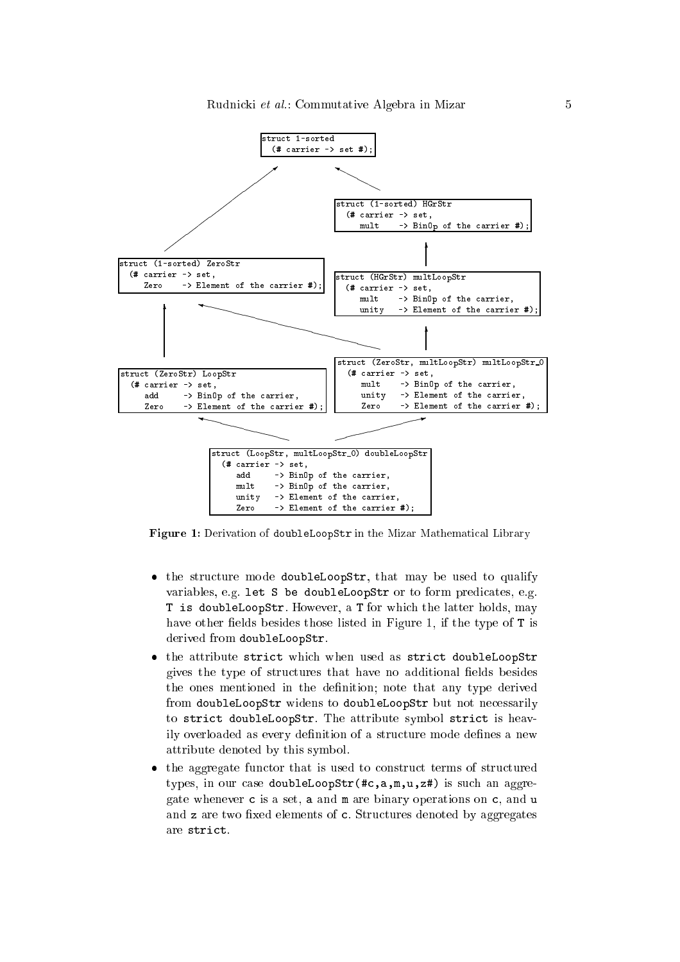

Figure 1: Derivation of doubleLoopStr in the Mizar Mathemati
al Library

- the structure mode **doubleLoopStr**, that may be used to qualify  $\bullet$ variables, e.g. let S be doubleLoopStr or to form predicates, e.g. T is doubleLoopStr. However, a T for whi
h the latter holds, may have other fields besides those listed in Figure 1, if the type of  $T$  is derived from doubleLoopStr.
- the attribute strip strip when when when used as strip as strip as gives the type of structures that have no additional fields besides the ones mentioned in the definition; note that any type derived from doubleLoopStr widens to doubleLoopStr but not necessarily to strict doubleLoopStr. The attribute symbol strict is heavily overloaded as every definition of a structure mode defines a new attribute denoted by this symbol.
- the aggregate fun
tor that is used to onstru
t terms of stru
tured types, in our case doubleLoopStr(#c,a,m,u,z#) is such an aggregate whenever c is a set, a and m are binary operations on c, and u and z are two fixed elements of c. Structures denoted by aggregates are stri
t.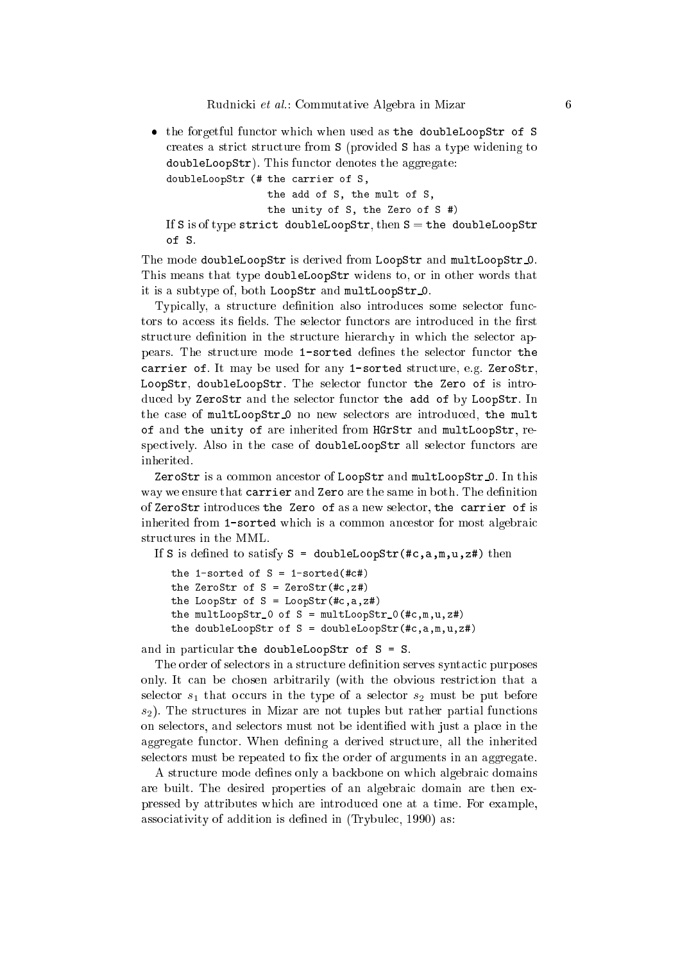the forgotted function when when when the double-the doublereates a stri
t stru
ture from S (provided S has a type widening to doubleLoopStr). This functor denotes the aggregate: doubleLoopStr (# the arrier of S, the add of S, the mult of S, the unity of S, the Zero of S #) If S is of type strict doubleLoopStr, then  $S =$  the doubleLoopStr of S.

The mode doubleLoopStr is derived from LoopStr and multLoopStr<sub>-0</sub>. This means that type doubleLoopStr widens to, or in other words that it is a subtype of, both LoopStr and multLoopStr\_0.

Typically, a structure definition also introduces some selector functors to access its fields. The selector functors are introduced in the first structure definition in the structure hierarchy in which the selector appears. The structure mode 1-sorted defines the selector functor the carrier of. It may be used for any 1-sorted structure, e.g. ZeroStr, LoopStr, doubleLoopStr. The selector functor the Zero of is introduced by ZeroStr and the selector functor the add of by LoopStr. In the case of multLoopStr\_0 no new selectors are introduced, the mult of and the unity of are inherited from HGrStr and multLoopStr, respectively. Also in the case of doubleLoopStr all selector functors are inherited.

ZeroStr is a common ancestor of LoopStr and multLoopStr\_0. In this way we ensure that carrier and Zero are the same in both. The definition of ZeroStr introdu
es the Zero of as a new sele
tor, the arrier of is inherited from 1-sorted which is a common ancestor for most algebraic structures in the MML.

If S is defined to satisfy  $S = doubleLoopStr$  (#c, a, m, u, z#) then

```
the 1-sorted of S = 1-sorted(#c#)
the ZeroStr of S = ZeroStr(f \mid c, z \nmid)the LoopStr of S = LoopStr(#c, a, z#)the multLoopStr_0 of S = multLoopStr_0(#c,m,u,z#)
the doubleLoopStr of S = doubleLoopStr(#c,a,m,u,z#)
```
and in particular the doubleLoopStr of  $S = S$ .

The order of selectors in a structure definition serves syntactic purposes only. It can be chosen arbitrarily (with the obvious restriction that a selector  $s_1$  that occurs in the type of a selector  $s_2$  must be put before  $s<sub>2</sub>$ ). The structures in Mizar are not tuples but rather partial functions on selectors, and selectors must not be identified with just a place in the aggregate functor. When defining a derived structure, all the inherited selectors must be repeated to fix the order of arguments in an aggregate.

A structure mode defines only a backbone on which algebraic domains are built. The desired properties of an algebrai domain are then expressed by attributes whi
h are introdu
ed one at a time. For example, associativity of addition is defined in (Trybulec, 1990) as: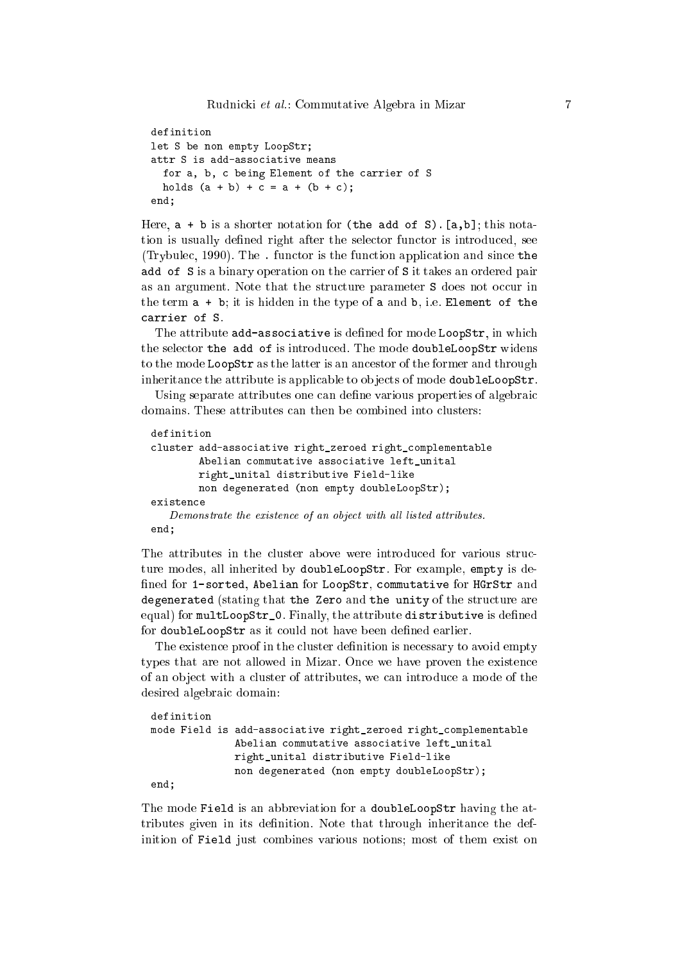```
definition
let S be non empty LoopStr;
attr S is add-asso
iative means
  for a, b, c being Element of the carrier of S
  holds (a + b) + c = a + (b + c);
end;
```
Here,  $a + b$  is a shorter notation for (the add of S). [a, b]; this notation is usually defined right after the selector functor is introduced, see (Trybulec, 1990). The . functor is the function application and since the add of S is a binary operation on the arrier of S it takes an ordered pair as an argument. Note that the structure parameter S does not occur in the term  $a + b$ ; it is hidden in the type of a and b, i.e. Element of the arrier of S.

The attribute add-associative is defined for mode LoopStr, in which the selector the add of is introduced. The mode doubleLoopStr widens to the mode LoopStr as the latter is an an
estor of the former and through inheritance the attribute is applicable to objects of mode doubleLoopStr.

Using separate attributes one can define various properties of algebraic

```
definition
cluster add-associative right_zeroed right_complementable
        Abelian commutative associative left unital
        right_unital distributive Field-like
        non degenerated (non empty doubleLoopStr);
existence
   Demonstrate the existence of an object with all listed attributes.
end;
```
The attributes in the cluster above were introduced for various structure modes, all inherited by doubleLoopStr. For example, empty is de fined for 1-sorted, Abelian for LoopStr, commutative for HGrStr and degenerated (stating that the Zero and the unity of the structure are equal) for multLoopStr\_0. Finally, the attribute distributive is defined for doubleLoopStr as it could not have been defined earlier.

The existence proof in the cluster definition is necessary to avoid empty types that are not allowed in Mizar. Once we have proven the existence of an object with a cluster of attributes, we can introduce a mode of the desired algebrai domain:

```
definition
mode Field is add-associative right_zeroed right_complementable
              Abelian 
ommutative asso
iative left_unital
              right_unital distributive Field-like
              non degenerated (non empty doubleLoopStr);
end;
```
The mode Field is an abbreviation for a doubleLoopStr having the attributes given in its definition. Note that through inheritance the definition of Field just combines various notions; most of them exist on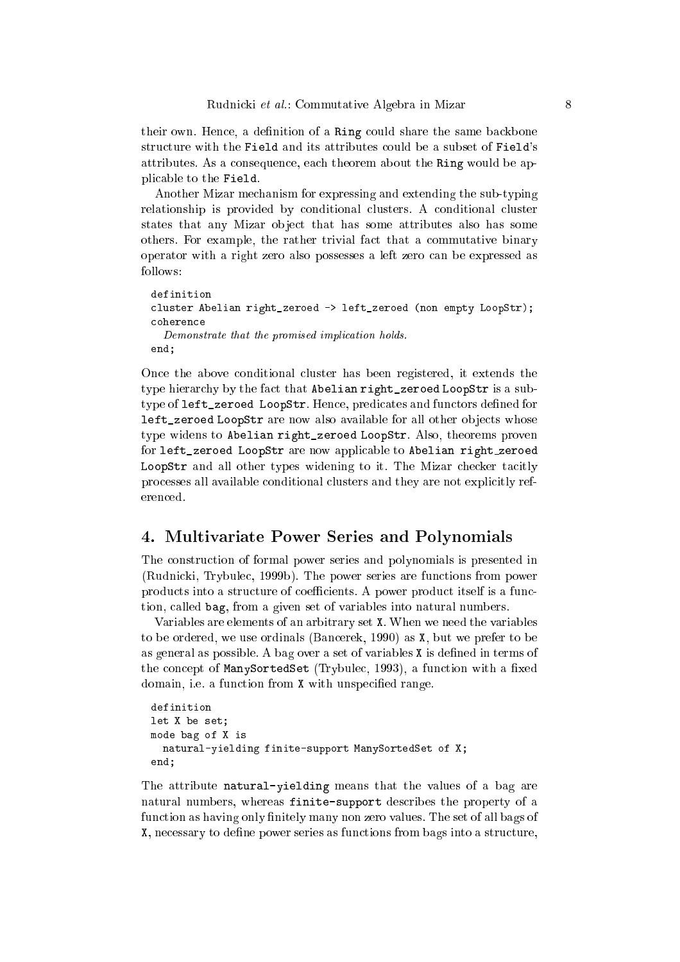their own. Hence, a definition of a Ring could share the same backbone structure with the Field and its attributes could be a subset of Field's attributes. As a onsequen
e, ea
h theorem about the Ring would be appli
able to the Field.

Another Mizar me
hanism for expressing and extending the sub-typing relationship is provided by conditional clusters. A conditional cluster states that any Mizar object that has some attributes also has some others. For example, the rather trivial fact that a commutative binary operator with a right zero also possesses a left zero an be expressed as follows:

```
definition
cluster Abelian right_zeroed -> left_zeroed (non empty LoopStr);
coherence
  Demonstrate that the promised implication holds.
end;
```
Once the above conditional cluster has been registered, it extends the type hierarchy by the fact that Abelian right\_zeroed LoopStr is a subtype of left\_zeroed LoopStr. Hence, predicates and functors defined for left\_zeroed LoopStr are now also available for all other objects whose type widens to Abelian right\_zeroed LoopStr. Also, theorems proven for left\_zeroed LoopStr are now applicable to Abelian right\_zeroed LoopStr and all other types widening to it. The Mizar checker tacitly processes all available conditional clusters and they are not explicitly ref-

## 4. Multivariate Power Series and Polynomials

The onstru
tion of formal power series and polynomials is presented in (Rudni
ki, Trybule
, 1999b). The power series are fun
tions from power products into a structure of coefficients. A power product itself is a function, alled bag, from a given set of variables into natural numbers.

Variables are elements of an arbitrary set X. When we need the variables to be ordered, we use ordinals (Ban
erek, 1990) as X, but we prefer to be as general as possible. A bag over a set of variables X is defined in terms of the concept of ManySortedSet (Trybulec, 1993), a function with a fixed domain, i.e. a function from **X** with unspecified range.

```
definition
let X be set;
mode bag of X is
  natural-yielding finite-support ManySortedSet of X;
end;
```
The attribute natural-yielding means that the values of a bag are natural numbers, whereas finite-support describes the property of a function as having only finitely many non zero values. The set of all bags of X, necessary to define power series as functions from bags into a structure,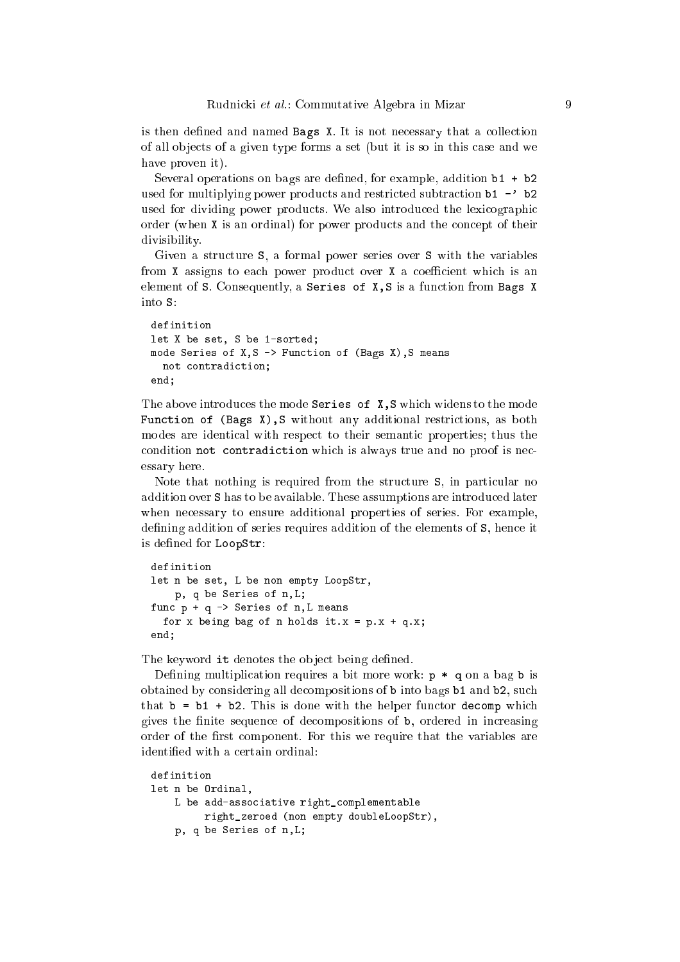is then defined and named Bags X. It is not necessary that a collection of all objects of a given type forms a set (but it is so in this case and we have proven it).

Several operations on bags are defined, for example, addition  $b1 + b2$ used for multiplying power products and restricted subtraction  $b1 - \nu b2$ used for dividing power products. We also introduced the lexicographic order (when X is an ordinal) for power products and the concept of their divisibility.

Given a structure S, a formal power series over S with the variables from X assigns to each power product over X a coefficient which is an element of S. Consequently, a Series of  $X, S$  is a function from Bags X into S:

```
let X be set, S be 1-sorted;
mode Series of X, S \rightarrow Function of (Bags X), S means
  not contradiction;
end;
```
The above introduces the mode Series of X, S which widens to the mode Function of (Bags X), S without any additional restrictions, as both modes are identical with respect to their semantic properties; thus the condition not contradiction which is always true and no proof is necessary here.

Note that nothing is required from the structure S, in particular no addition over S has to be available. These assumptions are introdu
ed later when necessary to ensure additional properties of series. For example, defining addition of series requires addition of the elements of S, hence it is defined for LoopStr:

```
definition
let n be set, L be non empty LoopStr,
    p, q be Series of n,L;
func p + q \rightarrow Series of n, L means
  for x being bag of n holds it.x = p.x + q.x;
end;
```
The keyword it denotes the object being defined.

Defining multiplication requires a bit more work:  $p * q$  on a bag b is obtained by onsidering all de
ompositions of b into bags b1 and b2, su
h that  $b = b1 + b2$ . This is done with the helper functor decomp which gives the finite sequence of decompositions of **b**, ordered in increasing order of the first component. For this we require that the variables are identied with a ertain ordinal:

```
definition
let n be Ordinal,
   L be add-associative right_complementable
        right_zeroed (non empty doubleLoopStr),
   p, q be Series of n,L;
```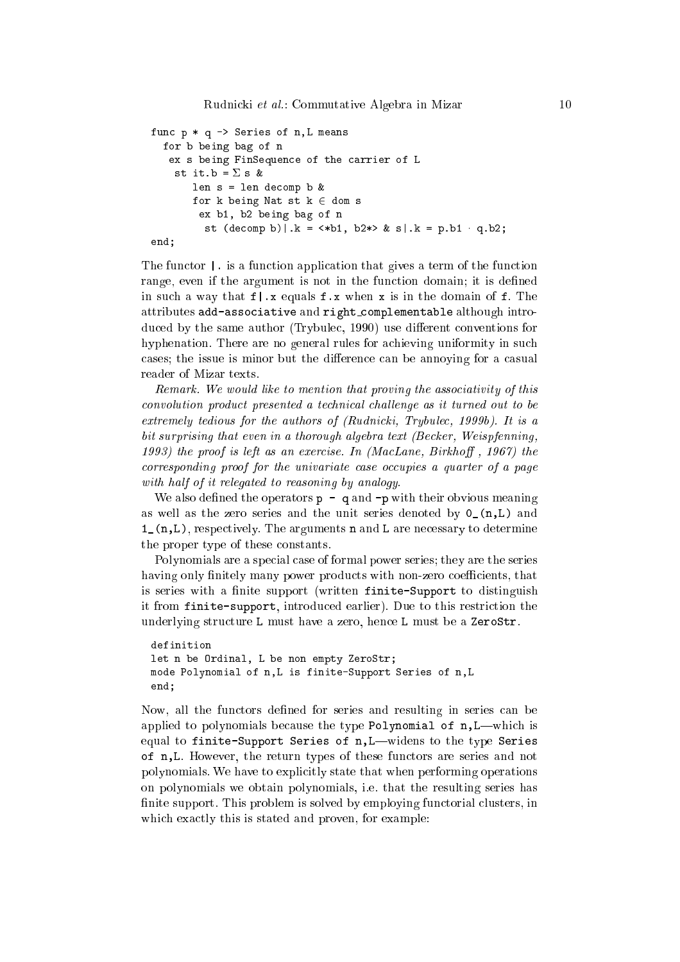```
func p * q \rightarrow Series of n, L means
    for b being bag of n
      ex s being FinSequen
e of the 
arrier of L
        st it.b = \Sigma s &
              len s = len decomp b &for k being Nat st k \in dom s
                ex b1, b2 being bag of n
                  st (decomp b) | .k = \langle *b1, b2* \rangle & s | .k = p.b1 q.b2;end:
ending the contract of the contract of the contract of the contract of the contract of the contract of the contract of the contract of the contract of the contract of the contract of the contract of the contract of the con
```
The functor | is a function application that gives a term of the function range, even if the argument is not in the function domain; it is defined in such a way that  $f(x)$ ,  $f(x)$  equals  $f(x)$  when  $x$  is in the domain of  $f(x)$ . The attributes add-associative and right\_complementable although introduced by the same author (Trybulec, 1990) use different conventions for hyphenation. There are no general rules for achieving uniformity in such cases; the issue is minor but the difference can be annoying for a casual reader of Mizar texts.

Remark. We would like to mention that proving the associativity of this convolution product presented a technical challenge as it turned out to be extremely tedious for the authors of (Rudnicki, Trybulec, 1999b). It is a bit surprising that even in a thorough algebra text (Becker, Weispfenning, 1993) the proof is left as an exercise. In  $(Mac Lane, Birkhoff, 1967)$  the corresponding proof for the univariate case occupies a quarter of a page with half of it relegated to reasoning by analogy.

We also defined the operators  $p - q$  and  $-p$  with their obvious meaning as well as the zero series and the unit series denoted by  $O(n,L)$  and 1\_(n,L), respe
tively. The arguments n and L are ne
essary to determine the proper type of these onstants.

Polynomials are a special case of formal power series; they are the series having only finitely many power products with non-zero coefficients, that is series with a finite support (written finite-Support to distinguish it from finite-support, introdu
ed earlier). Due to this restri
tion the underlying structure L must have a zero, hence L must be a ZeroStr.

```
definition
let n be Ordinal, L be non empty ZeroStr;
mode Polynomial of n,L is finite-Support Series of n,L
end;
```
Now, all the functors defined for series and resulting in series can be applied to polynomials because the type Polynomial of  $n, L$ —which is equal to finite-Support Series of  $n$ , L-widens to the type Series of n,L. However, the return types of these fun
tors are series and not polynomials. We have to explicitly state that when performing operations on polynomials we obtain polynomials, i.e. that the resulting series has finite support. This problem is solved by employing functorial clusters, in which exactly this is stated and proven, for example: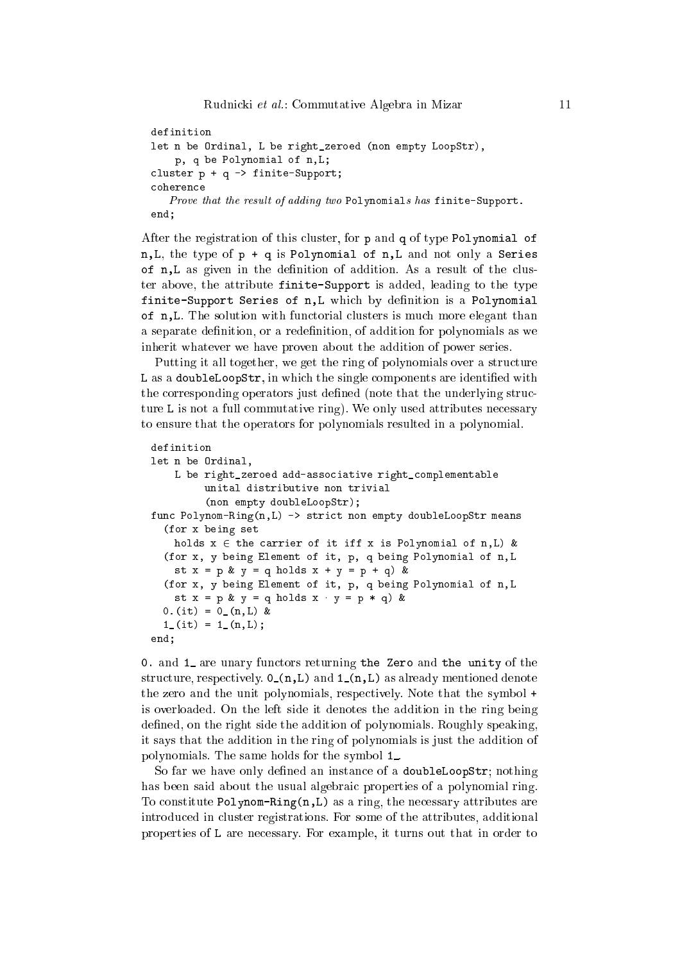```
definition
let n be Ordinal, L be right_zeroed (non empty LoopStr),
    p, q be Polynomial of n,L;
cluster p + q \rightarrow finite-Support;

oheren
e
   Prove that the result of adding two Polynomials has finite-Support.
end:
```
 $-$ 

After the registration of this luster, for p and q of type Polynomial of n,L, the type of p + q is Polynomial of n,L and not only a Series of n, L as given in the definition of addition. As a result of the cluster above, the attribute finite-Support is added, leading to the type finite-Support Series of n,L which by definition is a Polynomial of n, L. The solution with functorial clusters is much more elegant than a separate definition, or a redefinition, of addition for polynomials as we inherit whatever we have proven about the addition of power series.

Putting it all together, we get the ring of polynomials over a structure L as a doubleLoopStr, in which the single components are identified with the corresponding operators just defined (note that the underlying structure L is not a full commutative ring). We only used attributes necessary to ensure that the operators for polynomials resulted in a polynomial.

```
definition
let n be Ordinal,
    L be right zeroed add-associative right complementable
         unital distributive non trivial
         (non empty doubleLoopStr);
func Polynom-Ring(n, L) -> strict non empty doubleLoopStr means
  (for x being set
    holds x \in the carrier of it iff x is Polynomial of n, L) &
  (for x, y being Element of it, p, q being Polynomial of n,L
    st x = p \& y = q \text{ holds } x + y = p + q) &
  (for x, y being Element of it, p, q being Polynomial of n,L
    st x = p \& y = q \text{ holds } x \cdot y = p * q) &
  0. (it) = 0(n, L) &
  1_{-}(it) = 1_{-}(n,L);
end;
```
0. and 1 are unary functors returning the Zero and the unity of the structure, respectively.  $0(n,L)$  and  $1(n,L)$  as already mentioned denote the zero and the unit polynomials, respectively. Note that the symbol  $+$ is overloaded. On the left side it denotes the addition in the ring being defined, on the right side the addition of polynomials. Roughly speaking, it says that the addition in the ring of polynomials is just the addition of polynomials. The same holds for the symbol 1.

So far we have only defined an instance of a **doubleLoopStr**; nothing has been said about the usual algebraic properties of a polynomial ring. To constitute Polynom-Ring(n, L) as a ring, the necessary attributes are introdu
ed in luster registrations. For some of the attributes, additional properties of L are ne
essary. For example, it turns out that in order to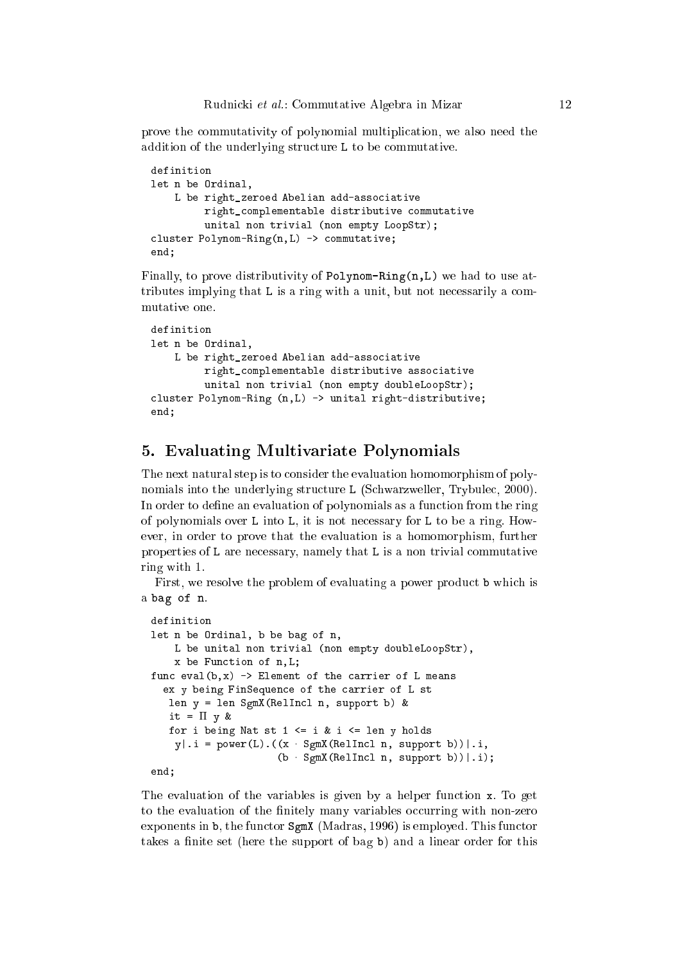prove the ommutativity of polynomial multipli
ation, we also need the addition of the underlying structure L to be commutative.

```
definition
let n be Ordinal,
   L be right zeroed Abelian add-associative
         right complementable distributive commutative
         unital non trivial (non empty LoopStr);
cluster Polynom-Ring(n, L) -> commutative;
end;
```
Finally, to prove distributivity of Polynom-Ring(n,L) we had to use attributes implying that L is a ring with a unit, but not necessarily a commutative one.

```
definition
let n be Ordinal,
   L be right_zeroed Abelian add-asso
iative
        right_
omplementable distributive asso
iative
        unital non trivial (non empty doubleLoopStr);
cluster Polynom-Ring (n,L) -> unital right-distributive;
end;
```
## 5. Evaluating Multivariate Polynomials

The next natural step is to consider the evaluation homomorphism of polynomials into the underlying structure L (Schwarzweller, Trybulec, 2000). In order to define an evaluation of polynomials as a function from the ring of polynomials over L into L, it is not ne
essary for L to be a ring. However, in order to prove that the evaluation is a homomorphism, further properties of L are necessary, namely that L is a non trivial commutative ring with 1.

First, we resolve the problem of evaluating a power product **b** which is a bag of n.

```
definition
let n be Ordinal, b be bag of n,
    L be unital non trivial (non empty doubleLoopStr),
    x be Fun
tion of n,L;
func eval(b, x) \rightarrow Element of the carrier of L means
  ex y being FinSequence of the carrier of L st
   len y = len SgmX(RelIn
l n, support b) &
   it = \Pi y &
   for i being Nat st 1 \le i \le i \le -1en y holds
    y \mid i = power(L). ((x - SgmX(RelIncl n, support b)) \mid i),
                        (b \cdot \text{SgmX}(\text{RelIncl n}, \text{support } b)) | .i);end;
```
The evaluation of the variables is given by a helper function x. To get to the evaluation of the finitely many variables occurring with non-zero exponents in b, the functor SgmX (Madras, 1996) is employed. This functor takes a finite set (here the support of bag b) and a linear order for this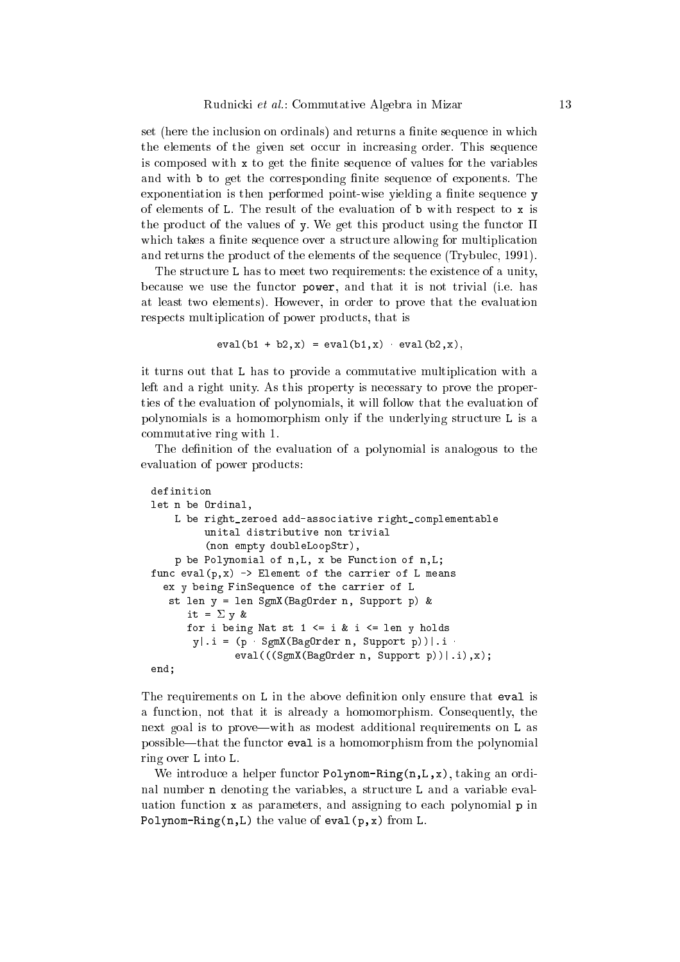set (here the inclusion on ordinals) and returns a finite sequence in which the elements of the given set occur in increasing order. This sequence is composed with x to get the finite sequence of values for the variables and with **b** to get the corresponding finite sequence of exponents. The  $exponentiation$  is then performed point-wise yielding a finite sequence  $y$ of elements of L. The result of the evaluation of b with respect to x is the product of the values of y. We get this product using the functor  $\Pi$ which takes a finite sequence over a structure allowing for multiplication and returns the product of the elements of the sequence (Trybulec, 1991).

The structure L has to meet two requirements: the existence of a unity, because we use the functor power, and that it is not trivial (i.e. has at least two elements). However, in order to prove that the evaluation respects multiplication of power products, that is

 $eval(b1 + b2, x) = eval(b1, x)$   $eval(b2, x)$ ,

it turns out that L has to provide a commutative multiplication with a left and a right unity. As this property is necessary to prove the properties of the evaluation of polynomials, it will follow that the evaluation of polynomials is a homomorphism only if the underlying stru
ture L is a ommutative ring with 1.

The definition of the evaluation of a polynomial is analogous to the evaluation of power produ
ts:

```
definition
let n be Ordinal,
    L be right_zeroed add-associative right_complementable
         unital distributive non trivial
          (non empty doubleLoopStr),
    p be Polynomial of n, L, x be Function of n, L;
func eval(p, x) -> Element of the carrier of L means
  ex y being FinSequen
e of the 
arrier of L
   st len y = len SgmX(BagOrder n, Support p) &
      it = \Sigma y &
      for i being Nat st 1 \le i \le i \le -1en y holds
       y \mid i = (p \text{ SgmX}(\text{BagOrder n}, \text{Support p})) \mid ieval(((SgmX(BagOrder n, Support p))|.i),x);
```
end;

The requirements on  $L$  in the above definition only ensure that eval is a fun
tion, not that it is already a homomorphism. Consequently, the next goal is to prove—with as modest additional requirements on L as possible—that the functor eval is a homomorphism from the polynomial ring over L into L.

We introduce a helper functor Polynom-Ring(n, L, x), taking an ordinal number n denoting the variables, a structure L and a variable evaluation function x as parameters, and assigning to each polynomial p in Polynom-Ring $(n,L)$  the value of eval $(p,x)$  from L.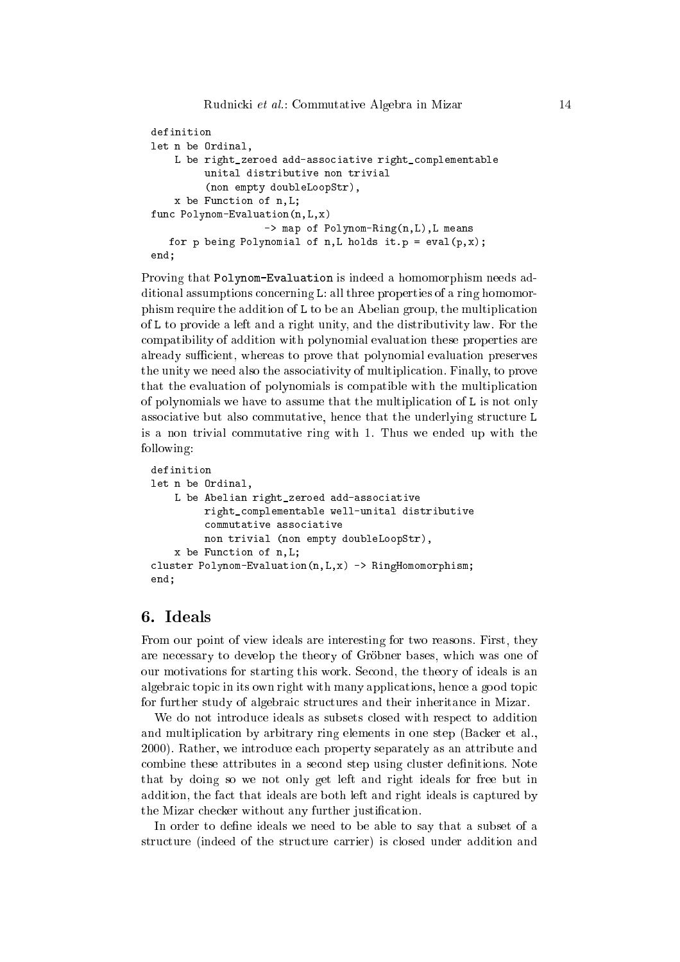```
definition
let n be Ordinal,
    L be right zeroed add-associative right complementable
         unital distributive non trivial
         (non empty doubleLoopStr),
    x be Fun
tion of n,L;
func Polynom-Evaluation(n, L, x)
                    \rightarrow map of Polynom-Ring(n, L), L means
   for p being Polynomial of n,L holds it.p = eval(p,x);
end;
```
Proving that Polynom-Evaluation is indeed a homomorphism needs additional assumptions concerning L: all three properties of a ring homomorphism require the addition of L to be an Abelian group, the multiplication of L to provide a left and a right unity, and the distributivity law. For the ompatibility of addition with polynomial evaluation these properties are already sufficient, whereas to prove that polynomial evaluation preserves the unity we need also the asso
iativity of multipli
ation. Finally, to prove that the evaluation of polynomials is compatible with the multiplication of polynomials we have to assume that the multipli
ation of L is not only asso
iative but also ommutative, hen
e that the underlying stru
ture L is a non trivial ommutative ring with 1. Thus we ended up with the following:

```
definition
let n be Ordinal,
    L be Abelian right_zeroed add-asso
iative
         right_
omplementable well-unital distributive

ommutative asso
iative
         non trivial (non empty doubleLoopStr),
    x be Fun
tion of n,L;
cluster Polynom-Evaluation(n,L,x) \rightarrow RingHomomorphism;
end;
```
### 6. Ideals

From our point of view ideals are interesting for two reasons. First, they are ne
essary to develop the theory of Grobner bases, whi
h was one of our motivations for starting this work. Second, the theory of ideals is an algebraic topic in its own right with many applications, hence a good topic for further study of algebraic structures and their inheritance in Mizar.

We do not introduce ideals as subsets closed with respect to addition and multiplication by arbitrary ring elements in one step (Backer et al., 2000). Rather, we introdu
e ea
h property separately as an attribute and combine these attributes in a second step using cluster definitions. Note that by doing so we not only get left and right ideals for free but in addition, the fact that ideals are both left and right ideals is captured by the Mizar checker without any further justification.

In order to define ideals we need to be able to say that a subset of a structure (indeed of the structure carrier) is closed under addition and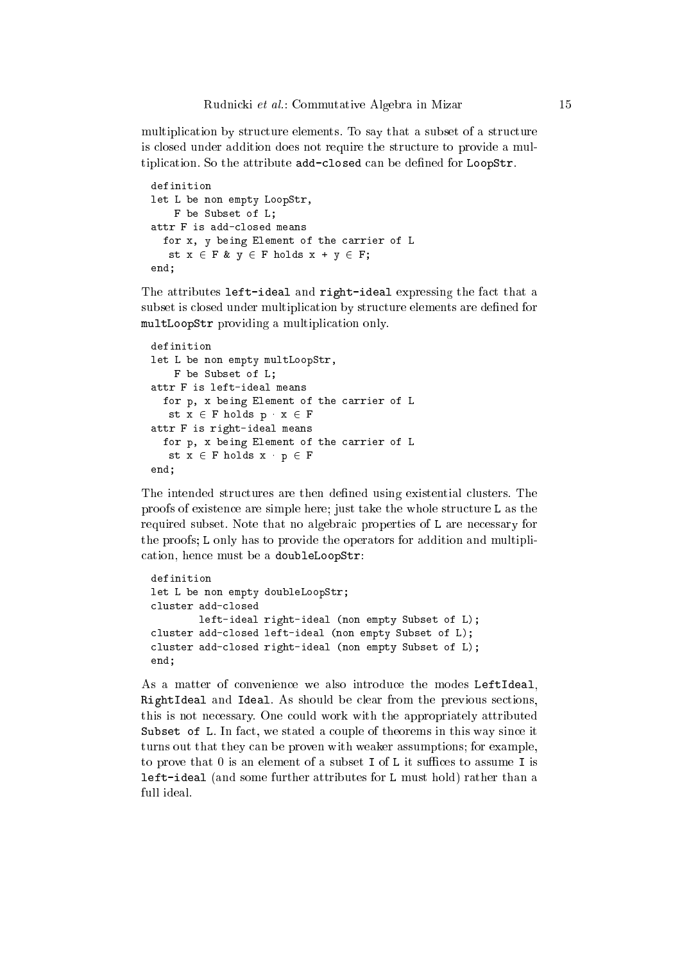multiplication by structure elements. To say that a subset of a structure is closed under addition does not require the structure to provide a multiplication. So the attribute add-closed can be defined for LoopStr.

```
definition
let L be non empty LoopStr,
   F be Subset of L;
attr F is add-
losed means
  for x, y being Element of the 
arrier of L
   st x \in F & y \in F holds x + y \in F;
end;
```
The attributes left-ideal and right-ideal expressing the fact that a subset is closed under multiplication by structure elements are defined for multLoopStr providing a multipli
ation only.

```
definition
let L be non empty multLoopStr,
    F be Subset of L;
attr F is left-ideal means
  for p, x being Element of the 
arrier of L
   st x \in F holds p \cdot x \in Fattr F is right-ideal means
  for p, x being Element of the 
arrier of L
   st x \in F holds x \cdot p \in F- - - -
```
The intended structures are then defined using existential clusters. The proofs of existen
e are simple here; just take the whole stru
ture L as the required subset. Note that no algebraic properties of L are necessary for the proofs; L only has to provide the operators for addition and multipli ation, hen
e must be a doubleLoopStr:

```
definition
let L be non empty doubleLoopStr;

luster add-
losed
        left-ideal right-ideal (non empty Subset of L);
cluster add-closed left-ideal (non empty Subset of L);
cluster add-closed right-ideal (non empty Subset of L);
end;
```
As a matter of convenience we also introduce the modes LeftIdeal, RightIdeal and Ideal. As should be clear from the previous sections, this is not necessary. One could work with the appropriately attributed Subset of L. In fact, we stated a couple of theorems in this way since it turns out that they can be proven with weaker assumptions; for example, to prove that  $\theta$  is an element of a subset I of L it suffices to assume I is left-ideal (and some further attributes for L must hold) rather than a full ideal.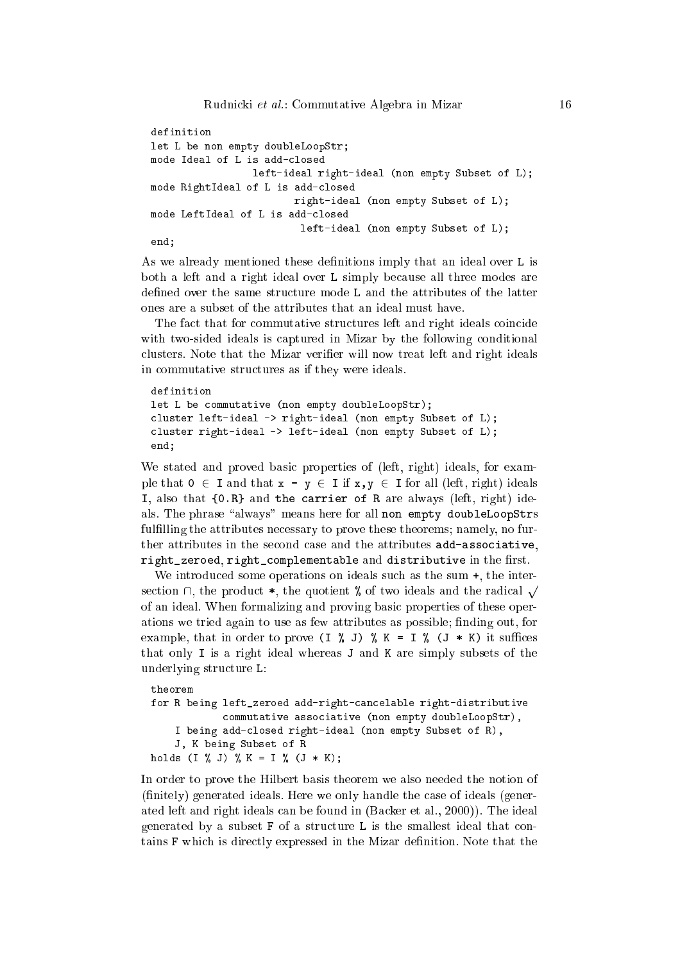```
definition
let L be non empty doubleLoopStr;
mode Ideal of L is add-
losed
                 left-ideal right-ideal (non empty Subset of L);
mode RightIdeal of L is add-
losed
                        right-ideal (non empty Subset of L);
mode LeftIdeal of L is add-
losed
                         left-ideal (non empty Subset of L);
end;
```
As we already mentioned these definitions imply that an ideal over L is both a left and a right ideal over L simply because all three modes are defined over the same structure mode L and the attributes of the latter ones are a subset of the attributes that an ideal must have.

The fact that for commutative structures left and right ideals coincide with two-sided ideals is captured in Mizar by the following conditional clusters. Note that the Mizar verifier will now treat left and right ideals in commutative structures as if they were ideals.

```
definition
let L be commutative (non empty doubleLoopStr);
cluster left-ideal -> right-ideal (non empty Subset of L);
cluster right-ideal -> left-ideal (non empty Subset of L);
end;
```
We stated and proved basic properties of (left, right) ideals, for example that  $0 \in I$  and that  $x - y \in I$  if  $x, y \in I$  for all (left, right) ideals I, also that {0.R} and the arrier of R are always (left, right) ideals. The phrase "always" means here for all non empty doubleLoopStrs fulfilling the attributes necessary to prove these theorems; namely, no further attributes in the second case and the attributes add-associative. right\_zeroed, right\_complementable and distributive in the first.

We introduced some operations on ideals such as the sum  $+$ , the intersection  $\cap$ , the product  $\ast$ , the quotient % of two ideals and the radical  $\sqrt$ of an ideal. When formalizing and proving basi properties of these operations we tried again to use as few attributes as possible; finding out, for example, that in order to prove  $(I \ X J) \ X K = I \ X (J * K)$  it suffices that only I is a right ideal whereas J and K are simply subsets of the underlying structure L:

```
theorem
for R being left_zeroed add-right-
an
elable right-distributive
            commutative associative (non empty doubleLoopStr),
    I being add-
losed right-ideal (non empty Subset of R),
    J, K being Subset of R
holds (I % J) % K = I % (J * K);
```
In order to prove the Hilbert basis theorem we also needed the notion of (finitely) generated ideals. Here we only handle the case of ideals (generated left and right ideals an be found in (Ba
ker et al., 2000)). The ideal generated by a subset  $F$  of a structure  $L$  is the smallest ideal that contains F whi
h is dire
tly expressed in the Mizar denition. Note that the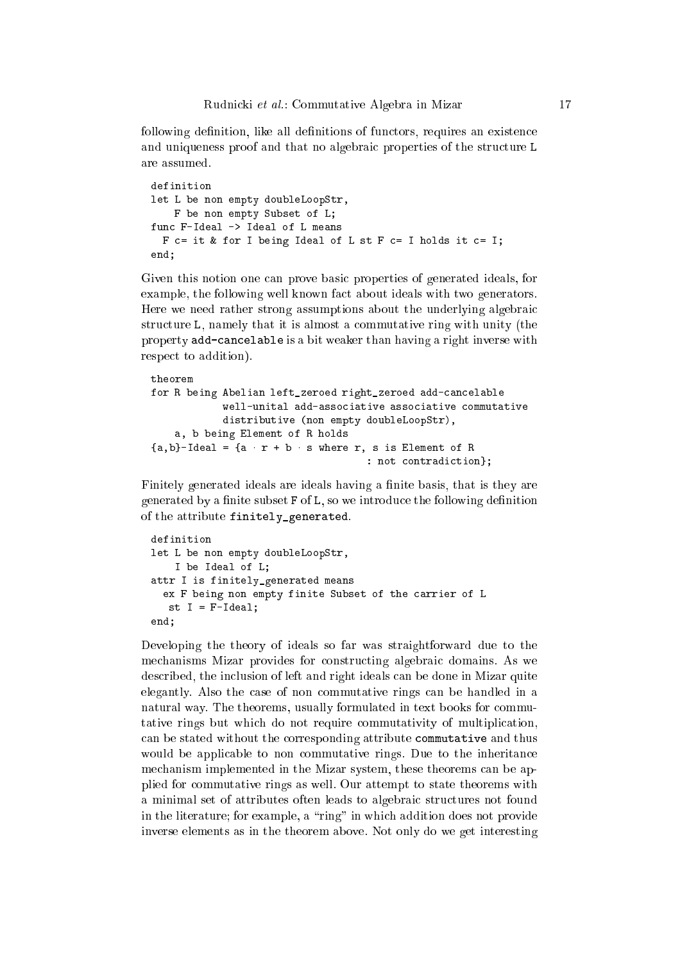following definition, like all definitions of functors, requires an existence and uniqueness proof and that no algebraic properties of the structure L are assumed.

```
definition
let L be non empty doubleLoopStr,
        F be non empty Subset of L;
fun
 F-Ideal -> Ideal of L means
    F c= it & for I being Ideal of L st F c= I holds it c= I;
end:ending the contract of the contract of the contract of the contract of the contract of the contract of the contract of the contract of the contract of the contract of the contract of the contract of the contract of the con
```
Given this notion one can prove basic properties of generated ideals, for example, the following well known fact about ideals with two generators. Here we need rather strong assumptions about the underlying algebrai structure L, namely that it is almost a commutative ring with unity (the property add-cancelable is a bit weaker than having a right inverse with respect to addition).

```
theorem
for R being Abelian left_zeroed right_zeroed add-cancelable
             well-unital add-asso
iative asso
iative 
ommutative
             distributive (non empty doubleLoopStr),
    a, b being Element of R holds
{a, b}-Ideal = {a \rightharpoonup r + b \rightharpoonup s} where r, s is Element of R
                                         : not contradiction};
```
Finitely generated ideals are ideals having a finite basis, that is they are generated by a finite subset  $F$  of  $L$ , so we introduce the following definition of the attribute finitely\_generated.

```
definition
let L be non empty doubleLoopStr,
    I be Ideal of L;
attr I is finitely_generated means
  ex F being non empty finite Subset of the 
arrier of L
   st I = F-I deal:
end;
```
Developing the theory of ideals so far was straightforward due to the mechanisms Mizar provides for constructing algebraic domains. As we described, the inclusion of left and right ideals can be done in Mizar quite elegantly. Also the ase of non ommutative rings an be handled in a natural way. The theorems, usually formulated in text books for commutative rings but which do not require commutativity of multiplication, an be stated without the orresponding attribute ommutative and thus would be applicable to non commutative rings. Due to the inheritance mechanism implemented in the Mizar system, these theorems can be applied for ommutative rings as well. Our attempt to state theorems with a minimal set of attributes often leads to algebraic structures not found in the literature; for example, a "ring" in which addition does not provide inverse elements as in the theorem above. Not only do we get interesting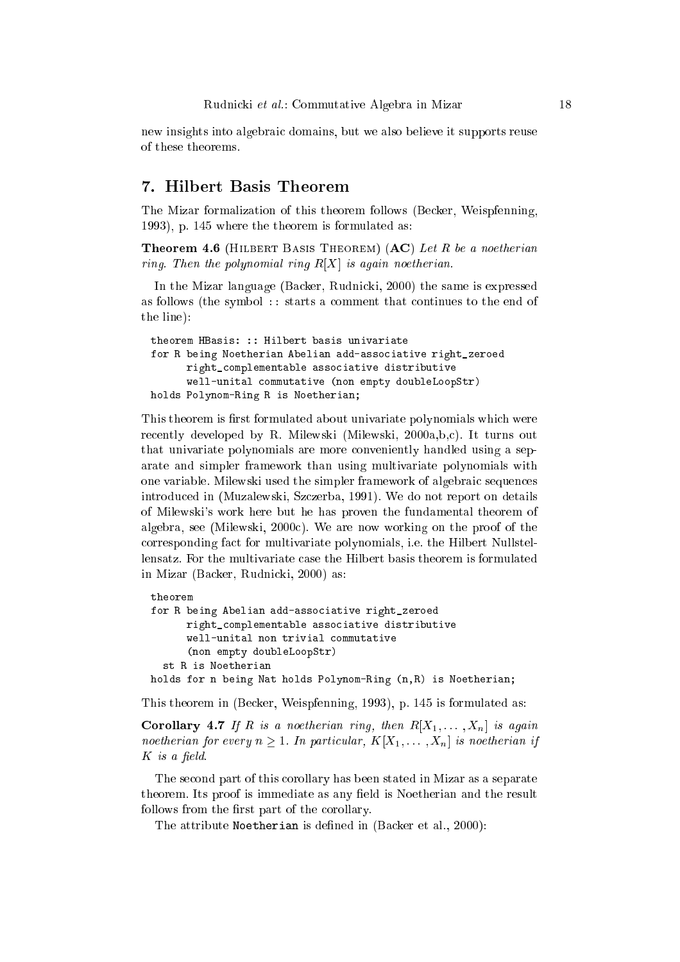new insights into algebrai domains, but we also believe it supports reuse of these theorems.

## 7. Hilbert Basis Theorem

The Mizar formalization of this theorem follows (Be
ker, Weispfenning, 1993), p. 145 where the theorem is formulated as:

**Theorem 4.6** (HILBERT BASIS THEOREM)  $(AC)$  Let R be a noetherian ring. Then the polynomial ring  $R[X]$  is again noetherian.

In the Mizar language (Backer, Rudnicki, 2000) the same is expressed as follows (the symbol :: starts a omment that ontinues to the end of the line):

```
theorem HBasis: :: Hilbert basis univariate
for R being Noetherian Abelian add-asso
iative right_zeroed
      right_
omplementable asso
iative distributive
      well-unital 
ommutative (non empty doubleLoopStr)
holds Polynom-Ring R is Noetherian;
```
This theorem is first formulated about univariate polynomials which were re
ently developed by R. Milewski (Milewski, 2000a,b,
). It turns out that univariate polynomials are more onveniently handled using a separate and simpler framework than using multivariate polynomials with one variable. Milewski used the simpler framework of algebraic sequences introdu
ed in (Muzalewski, Sz
zerba, 1991). We do not report on details of Milewski's work here but he has proven the fundamental theorem of algebra, see (Milewski, 2000
). We are now working on the proof of the orresponding fa
t for multivariate polynomials, i.e. the Hilbert Nullstellensatz. For the multivariate ase the Hilbert basis theorem is formulated in Mizar (Backer, Rudnicki, 2000) as:

```
theorem
for R being Abelian add-asso
iative right_zeroed
      right_
omplementable asso
iative distributive
      well-unital non trivial 
ommutative
      (non empty doubleLoopStr)
  st R is Noetherian
holds for n being Nat holds Polynom-Ring (n,R) is Noetherian;
```
This theorem in (Be
ker, Weispfenning, 1993), p. 145 is formulated as:

**Corollary 4.7** If R is a noetherian ring, then  $R[X_1, \ldots, X_n]$  is again noetherian for every  $n \geq 1$ . In particular,  $K[X_1, \ldots, X_n]$  is noetherian if  $K$  is a field.

The se
ond part of this orollary has been stated in Mizar as a separate theorem. Its proof is immediate as any field is Noetherian and the result follows from the first part of the corollary.

The attribute Noetherian is defined in (Backer et al., 2000):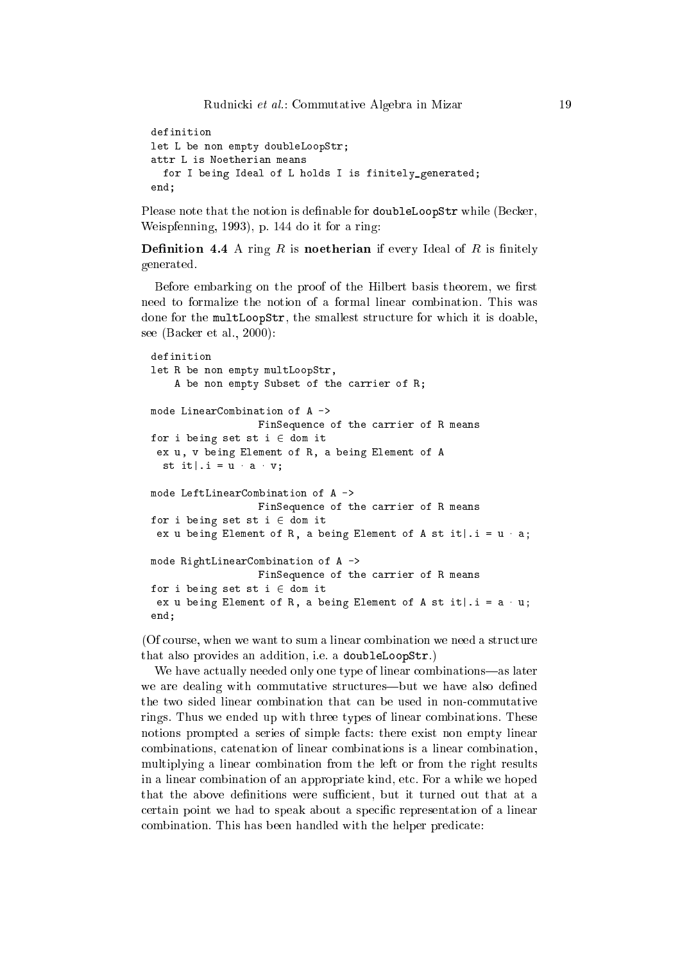```
definition
let L be non empty doubleLoopStr;
attr L is Noetherian means
  for I being Ideal of L holds I is finitely generated:
end;
```
Please note that the notion is definable for **doubleLoopStr** while (Becker, Weispfenning, 1993), p. 144 do it for a ring:

**Definition 4.4** A ring  $R$  is **noetherian** if every Ideal of  $R$  is finitely generated.

Before embarking on the proof of the Hilbert basis theorem, we first need to formalize the notion of a formal linear ombination. This was done for the multLoopStr, the smallest structure for which it is doable, see (Backer et al., 2000):

```
definition
let R be non empty multLoopStr,
    A be non empty Subset of the 
arrier of R;
mode LinearCombination of A ->
                  FinSequen
e of the 
arrier of R means
for i being set st i \in dom it
 ex u, v being Element of R, a being Element of A
  st it i : i = u + a + v;mode LeftLinearCombination of A ->
                  FinSequen
e of the 
arrier of R means
for i being set st i \in dom it
 ex u being Element of R, a being Element of A st it | . i = u \cdot a;
mode RightLinearCombination of A ->
                  FinSequence of the carrier of R means
for i being set st i \in dom it
 ex u being Element of R, a being Element of A st it |.i = a \cdot u;
end;
```
(Of ourse, when we want to sum a linear ombination we need a stru
ture that also provides an addition, i.e. a doubleLoopStr.)

We have actually needed only one type of linear combinations—as later we are dealing with commutative structures—but we have also defined the two sided linear ombination that an be used in nonommutative rings. Thus we ended up with three types of linear ombinations. These notions prompted a series of simple facts: there exist non empty linear combinations, catenation of linear combinations is a linear combination, multiplying a linear combination from the left or from the right results in a linear ombination of an appropriate kind, et
. For a while we hoped that the above definitions were sufficient, but it turned out that at a certain point we had to speak about a specific representation of a linear combination. This has been handled with the helper predicate: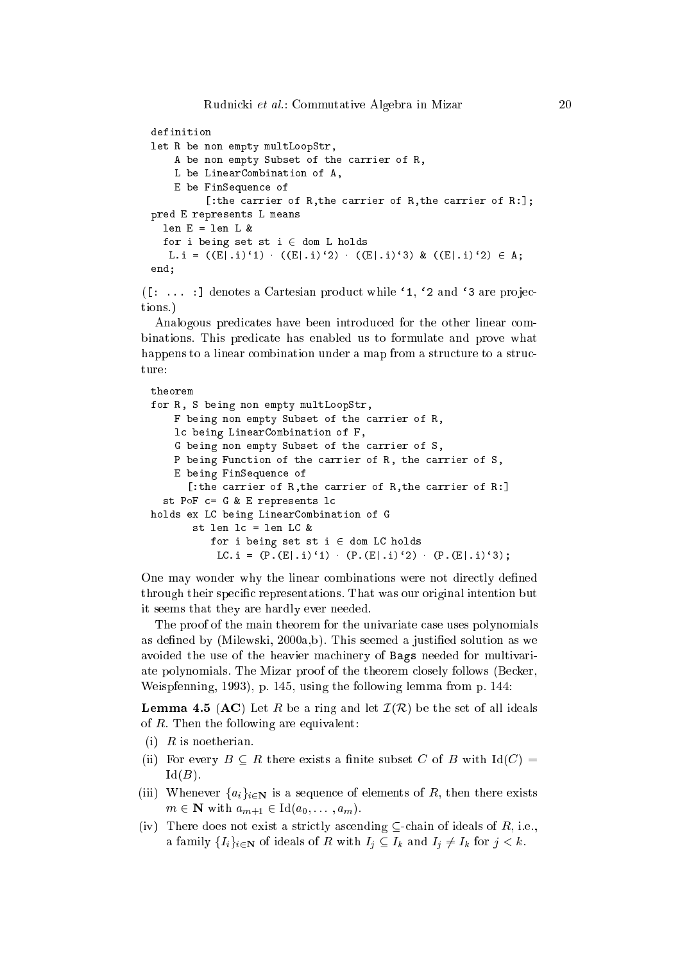```
definition
let R be non empty multLoopStr,
    A be non empty Subset of the 
arrier of R,
   L be LinearCombination of A,
   E be FinSequen
e of
         [:the carrier of R, the carrier of R, the carrier of R:];
pred E represents L means
  len E = len L &for i being set st i \in dom L holds
  L.i = ((E|.i)^1) ((E|.i)^2) ((E|.i)^3) & ((E|.i)^2) \in A;- - - -
```
 $([: \dots :]$  denotes a Cartesian product while '1, '2 and '3 are projections.)

Analogous predicates have been introduced for the other linear combinations. This predicate has enabled us to formulate and prove what happens to a linear combination under a map from a structure to a structure:

```
theorem
for R, S being non empty multLoopStr,
    F being non empty Subset of the 
arrier of R,
    l
 being LinearCombination of F,
   G being non empty Subset of the 
arrier of S,
   P being Function of the carrier of R, the carrier of S,
   E being FinSequen
e of
      [: the carrier of R, the carrier of R, the carrier of R:]
  st P\circF c= G & E represents lc
holds ex LC being LinearCombination of G
       st len 1c = len LC &
          for i being set st i \in dom LC holds
           LC.i = (P.(E|.i)') (P.(E|.i)') (P.(E|.i)')
```
One may wonder why the linear combinations were not directly defined through their specific representations. That was our original intention but it seems that they are hardly ever needed.

The proof of the main theorem for the univariate ase uses polynomials as defined by (Milewski, 2000a,b). This seemed a justified solution as we avoided the use of the heavier ma
hinery of Bags needed for multivariate polynomials. The Mizar proof of the theorem closely follows (Becker, Weispfenning, 1993), p. 145, using the following lemma from p. 144:

**Lemma 4.5 (AC)** Let R be a ring and let  $\mathcal{I}(\mathcal{R})$  be the set of all ideals of R. Then the following are equivalent:

- (i)  $R$  is no etherian.
- (ii) For every  $B \subseteq R$  there exists a finite subset C of B with  $\text{Id}(C) =$  $\mathrm{Id}(B)$ .
- (iii) Whenever  ${a_i}_{i\in\mathbb{N}}$  is a sequence of elements of R, then there exists  $m \in \mathbf{N}$  with  $a_{m+1} \in \text{Id}(a_0, \ldots, a_m)$ .
- (iv) There does not exist a strictly ascending  $\subset$ -chain of ideals of R, i.e., a family  $\{I_i\}_{i\in\mathbb{N}}$  of ideals of R with  $I_i\subseteq I_k$  and  $I_i\neq I_k$  for  $j < k$ .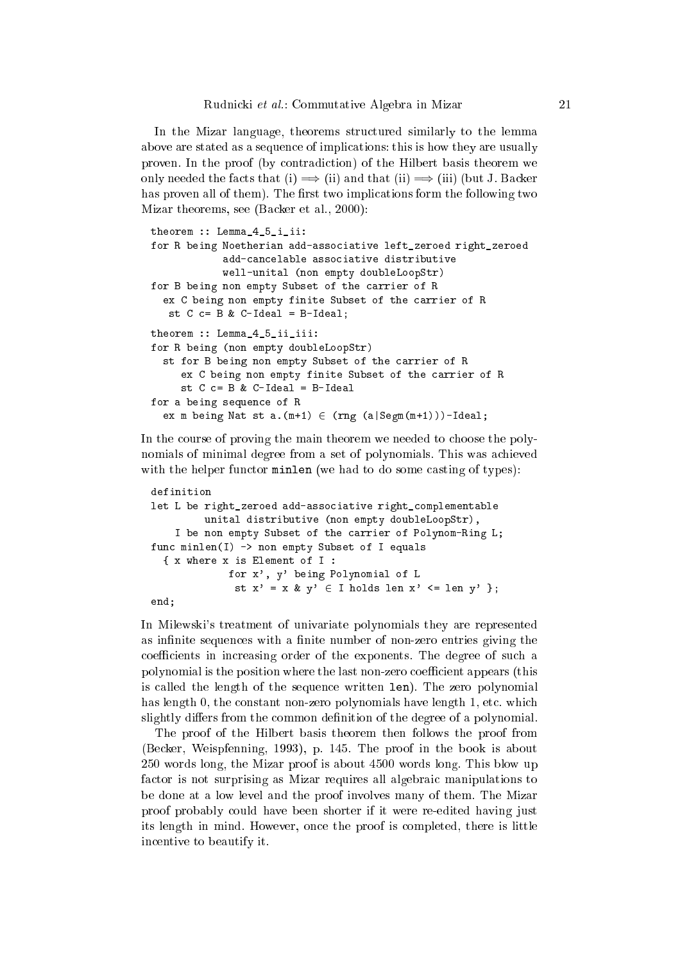In the Mizar language, theorems structured similarly to the lemma above are stated as a sequen
e of impli
ations: this is how they are usually proven. In the proof (by contradiction) of the Hilbert basis theorem we only needed the facts that (i)  $\implies$  (ii) and that (ii)  $\implies$  (iii) (but J. Backer has proven all of them). The first two implications form the following two Mizar theorems, see (Backer et al., 2000):

```
theorem :: Lemma_4_5_i_ii:
for R being Noetherian add-asso
iative left_zeroed right_zeroed
            add-
an
elable asso
iative distributive
            well-unital (non empty doubleLoopStr)
for B being non empty Subset of the 
arrier of R
  ex C being non empty finite Subset of the 
arrier of R
   st C = B \& C-Ideal = B-Ideal;
theorem :: Lemma_4_5_ii_iii:
for R being (non empty doubleLoopStr)
  st for B being non empty Subset of the 
arrier of R
     ex C being non empty finite Subset of the 
arrier of R
     st C = B & C-Ideal = B-Ideal
for a being sequence of R
  ex m being Nat st a. (m+1) \in (rng (a|Segm(m+1)))-Ideal;
```
In the course of proving the main theorem we needed to choose the polynomials of minimal degree from a set of polynomials. This was a
hieved with the helper functor minlen (we had to do some casting of types):

```
definition
let L be right_zeroed add-associative right_complementable
         unital distributive (non empty doubleLoopStr),
    I be non empty Subset of the 
arrier of Polynom-Ring L;
func minlen(I) -> non empty Subset of I equals
  { x where x is Element of I :
             for x', y' being Polynomial of L
              st x' = x \& y' \in I holds len x' \leq len y' };
end;
```
In Milewski's treatment of univariate polynomials they are represented as infinite sequences with a finite number of non-zero entries giving the coefficients in increasing order of the exponents. The degree of such a polynomial is the position where the last non-zero coefficient appears (this is alled the length of the sequen
e written len). The zero polynomial has length 0, the constant non-zero polynomials have length 1, etc. which

slightly differs from the common definition of the degree of a polynomial. The proof of the Hilbert basis theorem then follows the proof from (Be
ker, Weispfenning, 1993), p. 145. The proof in the book is about 250 words long, the Mizar proof is about 4500 words long. This blow up factor is not surprising as Mizar requires all algebraic manipulations to be done at a low level and the proof involves many of them. The Mizar proof probably ould have been shorter if it were re-edited having just its length in mind. However, on
e the proof is ompleted, there is little in
entive to beautify it.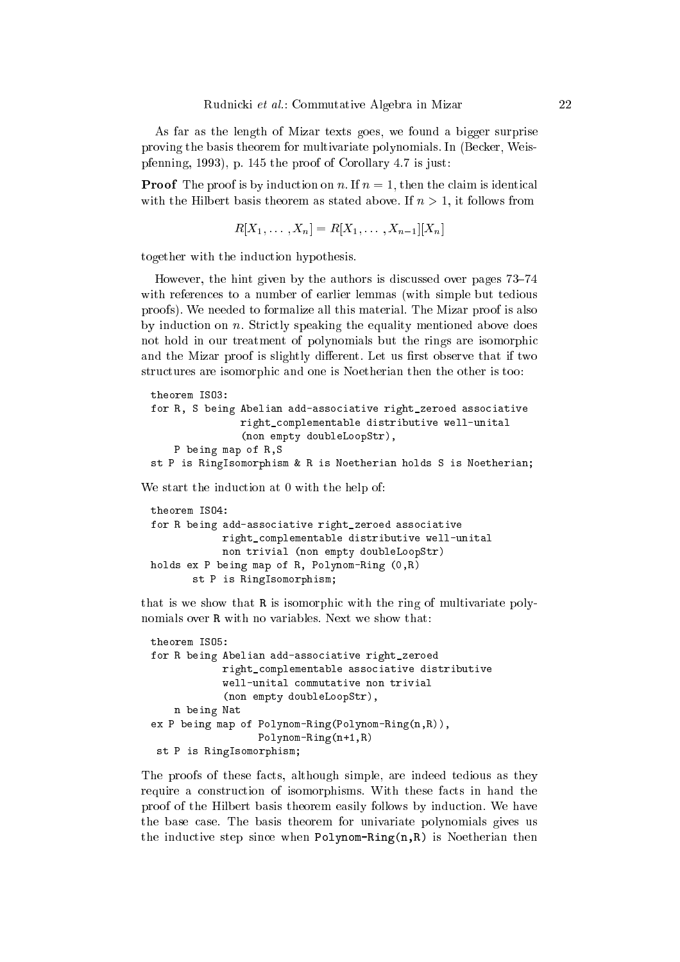As far as the length of Mizar texts goes, we found a bigger surprise proving the basis theorem for multivariate polynomials. In (Be
ker, Weispfenning, 1993), p. 145 the proof of Corollary 4.7 is just:

**Proof** The proof is by induction on n. If  $n = 1$ , then the claim is identical with the Hilbert basis theorem as stated above. If  $n > 1$ , it follows from

$$
R[X_1, \ldots, X_n] = R[X_1, \ldots, X_{n-1}][X_n]
$$

together with the induction hypothesis.

However, the hint given by the authors is discussed over pages  $73-74$ with referen
es to a number of earlier lemmas (with simple but tedious proofs). We needed to formalize all this material. The Mizar proof is also by induction on *n*. Strictly speaking the equality mentioned above does not hold in our treatment of polynomials but the rings are isomorphi and the Mizar proof is slightly different. Let us first observe that if two structures are isomorphic and one is Noetherian then the other is too:

```
theorem ISO3:
for R, S being Abelian add-asso
iative right_zeroed asso
iative
               right_
omplementable distributive well-unital
               (non empty doubleLoopStr),
   P being map of R,S
st P is RingIsomorphism & R is Noetherian holds S is Noetherian;
```
We start the induction at 0 with the help of:

```
theorem IS04:
for R being add-associative right_zeroed associative
            right_
omplementable distributive well-unital
            non trivial (non empty doubleLoopStr)
holds ex P being map of R, Polynom-Ring (0,R)
       st P is RingIsomorphism;
```
that is we show that R is isomorphic with the ring of multivariate polynomials over R with no variables. Next we show that:

```
theorem ISO5:
for R being Abelian add-asso
iative right_zeroed
            right_
omplementable asso
iative distributive
            well-unital 
ommutative non trivial
            (non empty doubleLoopStr),
   n being Nat
ex P being map of Polynom-Ring(Polynom-Ring(n,R)),
                  Polynom-Ring(n+1,R)
 st P is RingIsomorphism;
```
The proofs of these facts, although simple, are indeed tedious as they require a construction of isomorphisms. With these facts in hand the proof of the Hilbert basis theorem easily follows by induction. We have the base ase. The basis theorem for univariate polynomials gives us the inductive step since when Polynom-Ring(n,R) is Noetherian then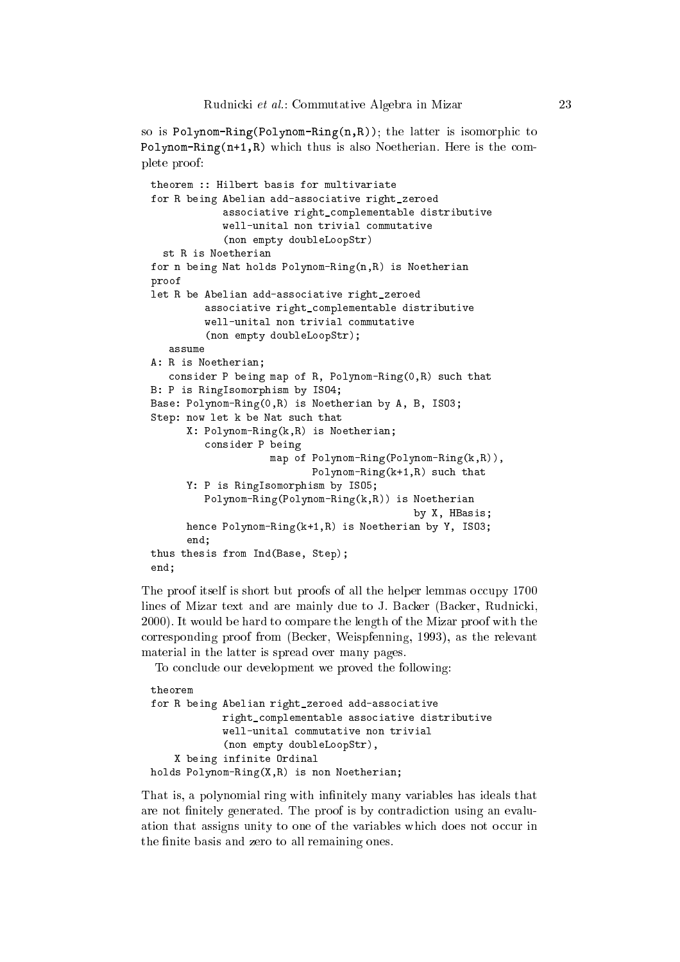```
so is Polynom-Ring(Polynom-Ring(n,R)); the latter is isomorphi
 to
Polynom-Ring (n+1,R) which thus is also Noetherian. Here is the com-
plete proof:
```

```
theorem :: Hilbert basis for multivariate
for R being Abelian add-asso
iative right_zeroed
            asso
iative right_
omplementable distributive
            well-unital non trivial 
ommutative
            (non empty doubleLoopStr)
  st R is Noetherian
for n being Nat holds Polynom-Ring(n,R) is Noetherian
proof
let R be Abelian add-associative right_zeroed
         asso
iative right_
omplementable distributive
         well-unital non trivial 
ommutative
         (non empty doubleLoopStr);
   assume
A: R is Noetherian;
   consider P being map of R, Polynom-Ring(0,R) such that
B: P is RingIsomorphism by ISO4;
Base: Polynom-Ring(0,R) is Noetherian by A, B, ISO3;
Step: now let k be Nat such that
      X: Polynom-Ring(k,R) is Noetherian;

onsider P being
                    map of Polynom-Ring(Polynom-Ring(k,R)),
                           Polynom-Ring(k+1,R) su
h that
      Y: P is RingIsomorphism by ISO5;
         Polynom-Ring(Polynom-Ring(k,R)) is Noetherian
                                            by X, HBasis;
      hen
e Polynom-Ring(k+1,R) is Noetherian by Y, ISO3;
      end;
thus thesis from Ind(Base, Step);
end;
```
The proof itself is short but proofs of all the helper lemmas occupy 1700 lines of Mizar text and are mainly due to J. Backer (Backer, Rudnicki, 2000). It would be hard to ompare the length of the Mizar proof with the orresponding proof from (Be
ker, Weispfenning, 1993), as the relevant material in the latter is spread over many pages.

To conclude our development we proved the following:

```
theorem
for R being Abelian right_zeroed add-asso
iative
            right_
omplementable asso
iative distributive
            well-unital 
ommutative non trivial
            (non empty doubleLoopStr),
    X being infinite Ordinal
holds Polynom-Ring(X,R) is non Noetherian;
```
That is, a polynomial ring with infinitely many variables has ideals that are not finitely generated. The proof is by contradiction using an evaluation that assigns unity to one of the variables which does not occur in the finite basis and zero to all remaining ones.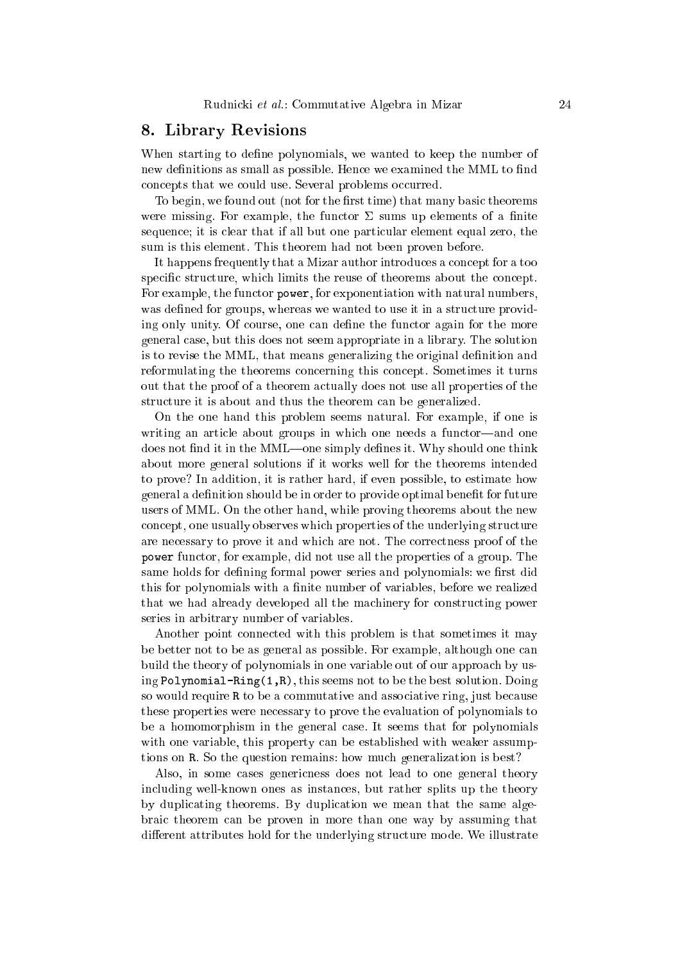## 8. Library Revisions

When starting to define polynomials, we wanted to keep the number of new definitions as small as possible. Hence we examined the MML to find concepts that we could use. Several problems occurred.

To begin, we found out (not for the first time) that many basic theorems were missing. For example, the functor  $\Sigma$  sums up elements of a finite sequence; it is clear that if all but one particular element equal zero, the sum is this element. This theorem had not been proven before.

It happens frequently that a Mizar author introduces a concept for a too specific structure, which limits the reuse of theorems about the concept. For example, the functor power, for exponentiation with natural numbers, was defined for groups, whereas we wanted to use it in a structure providing only unity. Of course, one can define the functor again for the more general ase, but this does not seem appropriate in a library. The solution is to revise the MML, that means generalizing the original definition and reformulating the theorems concerning this concept. Sometimes it turns out that the proof of a theorem a
tually does not use all properties of the structure it is about and thus the theorem can be generalized.

On the one hand this problem seems natural. For example, if one is writing an article about groups in which one needs a functor—and one does not find it in the MML—one simply defines it. Why should one think about more general solutions if it works well for the theorems intended to prove? In addition, it is rather hard, if even possible, to estimate how general a definition should be in order to provide optimal benefit for future users of MML. On the other hand, while proving theorems about the new on
ept, one usually observes whi
h properties of the underlying stru
ture are ne
essary to prove it and whi
h are not. The orre
tness proof of the power fun
tor, for example, did not use all the properties of a group. The same holds for defining formal power series and polynomials: we first did this for polynomials with a finite number of variables, before we realized that we had already developed all the ma
hinery for onstru
ting power series in arbitrary number of variables.

Another point onne
ted with this problem is that sometimes it may be better not to be as general as possible. For example, although one can build the theory of polynomials in one variable out of our approach by using Polynomial-Ring(1,R), this seems not to be the best solution. Doing so would require R to be a commutative and associative ring, just because these properties were ne
essary to prove the evaluation of polynomials to be a homomorphism in the general case. It seems that for polynomials with one variable, this property can be established with weaker assumptions on R. So the question remains: how mu
h generalization is best?

Also, in some cases genericness does not lead to one general theory in
luding well-known ones as instan
es, but rather splits up the theory by dupli
ating theorems. By dupli
ation we mean that the same algebrai theorem an be proven in more than one way by assuming that different attributes hold for the underlying structure mode. We illustrate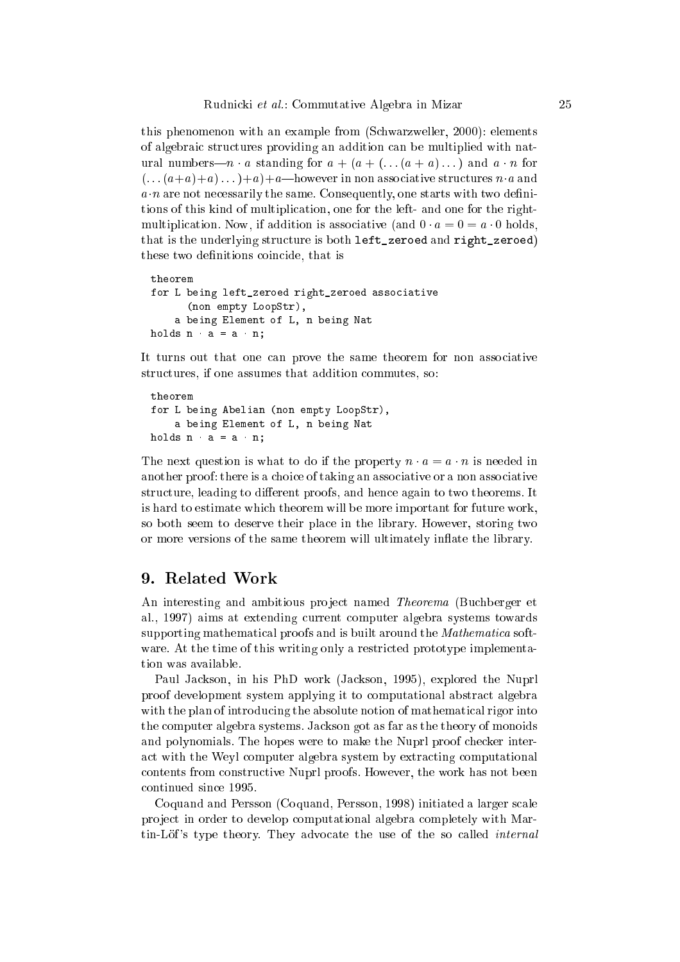this phenomenon with an example from (S
hwarzweller, 2000): elements of algebraic structures providing an addition can be multiplied with natural numbers— $n \cdot a$  standing for  $a + (a + (... (a + a) ...)$  and  $a \cdot n$  for  $(\ldots (a+a)+a)\ldots)+a$  + a—however in non associative structures  $n \cdot a$  and  $a \cdot n$  are not necessarily the same. Consequently, one starts with two definitions of this kind of multiplication, one for the left- and one for the rightmultiplication. Now, if addition is associative (and  $0 \cdot a = 0 = a \cdot 0$  holds, that is the underlying structure is both left\_zeroed and right\_zeroed) these two definitions coincide, that is

```
theorem
for L being left_zeroed right_zeroed asso
iative
      (non empty LoopStr),
    a being Element of L, n being Nat
holds n \ a = a \ n;
```
It turns out that one can prove the same theorem for non associative structures, if one assumes that addition commutes, so:

```
theorem
for L being Abelian (non empty LoopStr),
    a being Element of L, n being Nat
holds n \ a = a \ n;
```
The next question is what to do if the property  $n \cdot a = a \cdot n$  is needed in another proof: there is a choice of taking an associative or a non associative structure, leading to different proofs, and hence again to two theorems. It is hard to estimate which theorem will be more important for future work, so both seem to deserve their pla
e in the library. However, storing two or more versions of the same theorem will ultimately in
ate the library.

### 9. Related Work

An interesting and ambitious project named *Theorema* (Buchberger et al., 1997) aims at extending urrent omputer algebra systems towards supporting mathematical proofs and is built around the *Mathematica* software. At the time of this writing only a restricted prototype implementa-

Paul Ja
kson, in his PhD work (Ja
kson, 1995), explored the Nuprl proof development system applying it to omputational abstra
t algebra with the plan of introducing the absolute notion of mathematical rigor into the omputer algebra systems. Ja
kson got as far as the theory of monoids and polynomials. The hopes were to make the Nuprl proof checker intera
t with the Weyl omputer algebra system by extra
ting omputational ontents from onstru
tive Nuprl proofs. However, the work has not been ontinued sin
e 1995.

Coquand and Persson (Coquand, Persson, 1998) initiated a larger s
ale project in order to develop computational algebra completely with Martin-Löf's type theory. They advocate the use of the so called *internal*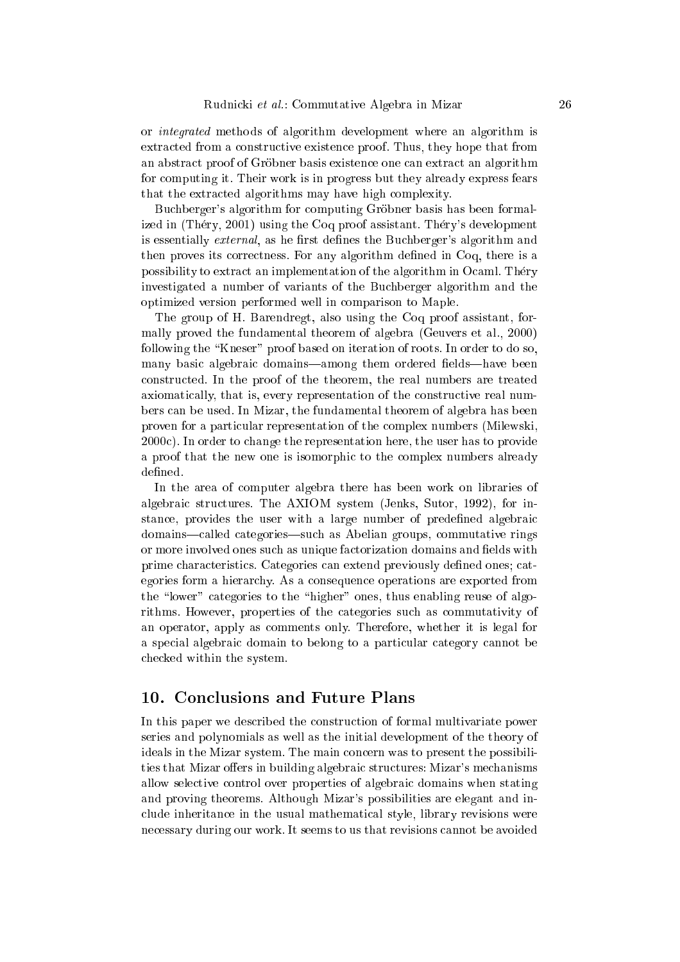or integrated methods of algorithm development where an algorithm is extra
ted from a onstru
tive existen
e proof. Thus, they hope that from an abstract proof of Gröbner basis existence one can extract an algorithm for omputing it. Their work is in progress but they already express fears that the extracted algorithms may have high complexity.

Buchberger's algorithm for computing Gröbner basis has been formalized in (Théry, 2001) using the Coq proof assistant. Théry's development is essentially *external*, as he first defines the Buchberger's algorithm and then proves its correctness. For any algorithm defined in Coq, there is a possibility to extra
t an implementation of the algorithm in O
aml. Thery investigated a number of variants of the Bu
hberger algorithm and the optimized version performed well in omparison to Maple.

The group of H. Barendregt, also using the Coq proof assistant, formally proved the fundamental theorem of algebra (Geuvers et al., 2000) following the "Kneser" proof based on iteration of roots. In order to do so, many basic algebraic domains—among them ordered fields—have been onstru
ted. In the proof of the theorem, the real numbers are treated axiomatically, that is, every representation of the constructive real numbers an be used. In Mizar, the fundamental theorem of algebra has been proven for a parti
ular representation of the omplex numbers (Milewski, 2000
). In order to hange the representation here, the user has to provide a proof that the new one is isomorphi to the omplex numbers already defined.

In the area of omputer algebra there has been work on libraries of algebraic structures. The AXIOM system (Jenks, Sutor, 1992), for instance, provides the user with a large number of predefined algebraic domains—called categories—such as Abelian groups, commutative rings or more involved ones such as unique factorization domains and fields with prime characteristics. Categories can extend previously defined ones; categories form a hierar
hy. As a onsequen
e operations are exported from the "lower" categories to the "higher" ones, thus enabling reuse of algorithms. However, properties of the ategories su
h as ommutativity of an operator, apply as omments only. Therefore, whether it is legal for a special algebraic domain to belong to a particular category cannot be he
ked within the system.

## 10. Con
lusions and Future Plans

In this paper we described the construction of formal multivariate power series and polynomials as well as the initial development of the theory of ideals in the Mizar system. The main on
ern was to present the possibilities that Mizar offers in building algebraic structures: Mizar's mechanisms allow sele
tive ontrol over properties of algebrai domains when stating and proving theorems. Although Mizar's possibilities are elegant and in clude inheritance in the usual mathematical style, library revisions were necessary during our work. It seems to us that revisions cannot be avoided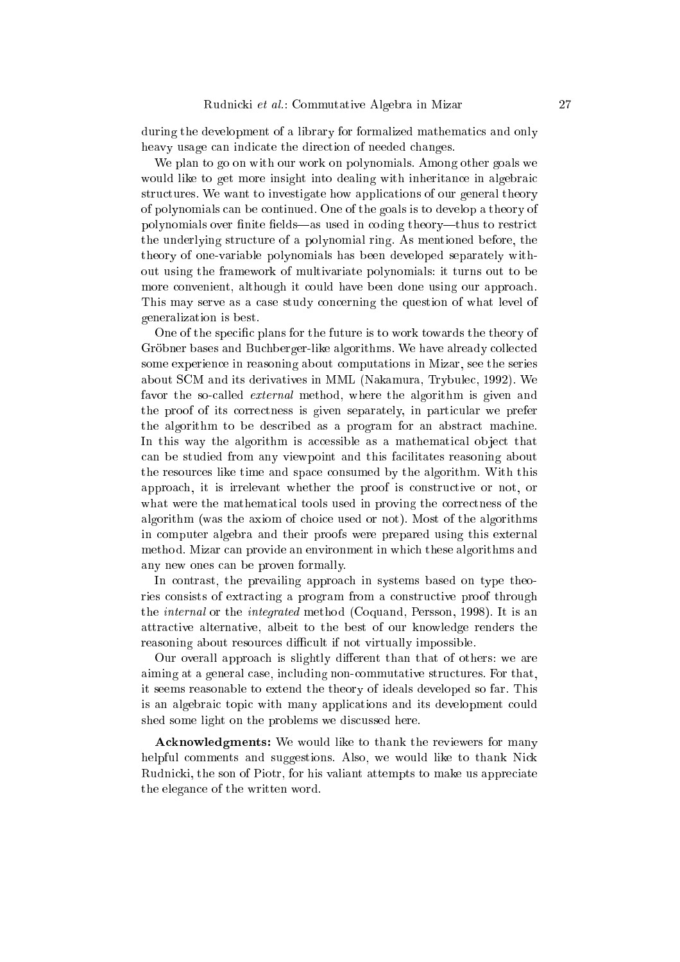during the development of a library for formalized mathemati
s and only heavy usage can indicate the direction of needed changes.

We plan to go on with our work on polynomials. Among other goals we would like to get more insight into dealing with inheritance in algebraic structures. We want to investigate how applications of our general theory of polynomials an be ontinued. One of the goals is to develop a theory of polynomials over finite fields—as used in coding theory—thus to restrict the underlying stru
ture of a polynomial ring. As mentioned before, the theory of one-variable polynomials has been developed separately without using the framework of multivariate polynomials: it turns out to be more convenient, although it could have been done using our approach. This may serve as a case study concerning the question of what level of generalization is best.

One of the specific plans for the future is to work towards the theory of Gröbner bases and Buchberger-like algorithms. We have already collected some experience in reasoning about computations in Mizar, see the series about SCM and its derivatives in MML (Nakamura, Trybulec, 1992). We favor the so-called *external* method, where the algorithm is given and the proof of its orre
tness is given separately, in parti
ular we prefer the algorithm to be des
ribed as a program for an abstra
t ma
hine. In this way the algorithm is accessible as a mathematical object that can be studied from any viewpoint and this facilitates reasoning about the resour
es like time and spa
e onsumed by the algorithm. With this approach, it is irrelevant whether the proof is constructive or not, or what were the mathematical tools used in proving the correctness of the algorithm (was the axiom of hoi
e used or not). Most of the algorithms in omputer algebra and their proofs were prepared using this external method. Mizar can provide an environment in which these algorithms and any new ones an be proven formally.

In contrast, the prevailing approach in systems based on type theories consists of extracting a program from a constructive proof through the internal or the integrated method (Coquand, Persson, 1998). It is an attra
tive alternative, albeit to the best of our knowledge renders the reasoning about resources difficult if not virtually impossible.

Our overall approach is slightly different than that of others: we are aiming at a general case, including non-commutative structures. For that, it seems reasonable to extend the theory of ideals developed so far. This is an algebraic topic with many applications and its development could shed some light on the problems we discussed here.

Acknowledgments: We would like to thank the reviewers for many helpful comments and suggestions. Also, we would like to thank Nick Rudnicki, the son of Piotr, for his valiant attempts to make us appreciate the elegan
e of the written word.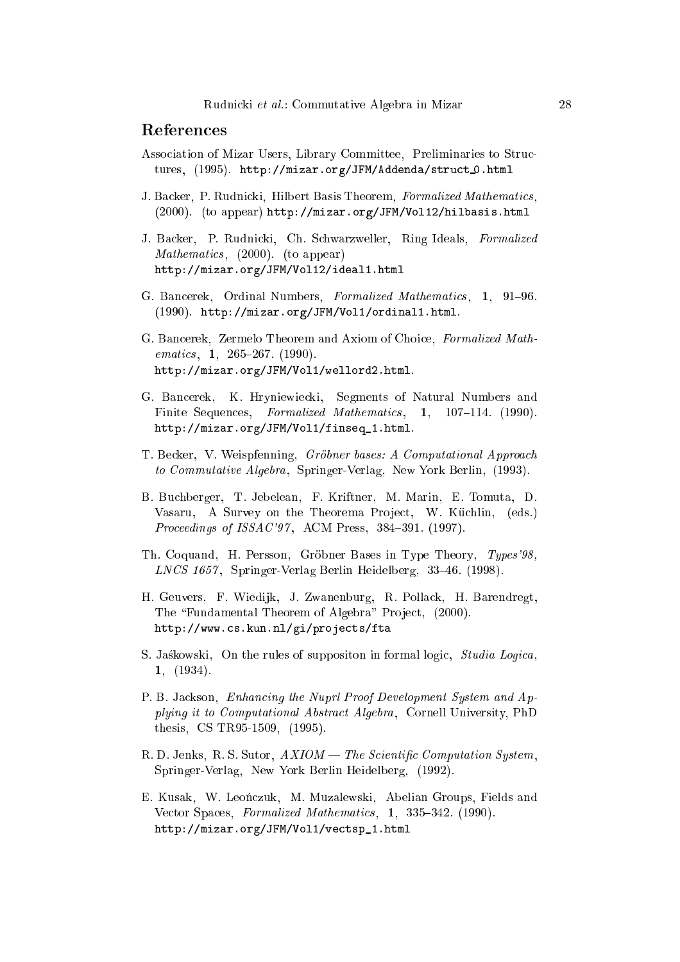## Referen
es

- Association of Mizar Users, Library Committee, Preliminaries to Structures, (1995). http://mizar.org/JFM/Addenda/struct\_0.html
- J. Backer, P. Rudnicki, Hilbert Basis Theorem, Formalized Mathematics, (2000). (to appear) http://mizar.org/JFM/Vol12/hilbasis.html
- J. Backer, P. Rudnicki, Ch. Schwarzweller, Ring Ideals, Formalized Mathematics, (2000). (to appear) http://mizar.org/JFM/Vol12/ideal1.html
- G. Bancerek, Ordinal Numbers, Formalized Mathematics, 1, 91-96. (1990). http://mizar.org/JFM/Vol1/ordinal1.html.
- G. Ban
erek, Zermelo Theorem and Axiom of Choi
e, Formalized Math $ematics, 1, 265-267. (1990).$ http://mizar.org/JFM/Vol1/wellord2.html.
- G. Ban
erek, K. Hryniewie
ki, Segments of Natural Numbers and Finite Sequences, Formalized Mathematics, 1, 107-114. (1990). http://mizar.org/JFM/Vol1/finseq\_1.html.
- T. Becker, V. Weispfenning, Gröbner bases: A Computational Approach to Commutative Algebra, Springer-Verlag, New York Berlin, (1993).
- B. Bu
hberger, T. Jebelean, F. Kriftner, M. Marin, E. Tomuta, D. Vasaru, A Survey on the Theorema Project, W. Küchlin, (eds.) *Proceedings of ISSAC*'97, ACM Press,  $384-391$ . (1997).
- Th. Coquand, H. Persson, Gröbner Bases in Type Theory, Types'98,  $LNCS$  1657. Springer-Verlag Berlin Heidelberg, 33-46. (1998).
- H. Geuvers, F. Wiedijk, J. Zwanenburg, R. Pollack, H. Barendregt, The "Fundamental Theorem of Algebra" Project, (2000). http://www.cs.kun.nl/gi/projects/fta
- S. Jaskowski, On the rules of suppositon in formal logic, Studia Logica, 1, (1934).
- P. B. Jackson, Enhancing the Nuprl Proof Development System and Applying it to Computational Abstract Algebra, Cornell University, PhD thesis, CS TR95-1509, (1995).
- R. D. Jenks, R. S. Sutor,  $AXIOM = The Scientific Computation System$ , Springer-Verlag, New York Berlin Heidelberg, (1992).
- E. Kusak, W. Leonczuk, M. Muzalewski, Abelian Groups, Fields and Vector Spaces, Formalized Mathematics, 1, 335-342. (1990). http://mizar.org/JFM/Vol1/ve
tsp\_1.html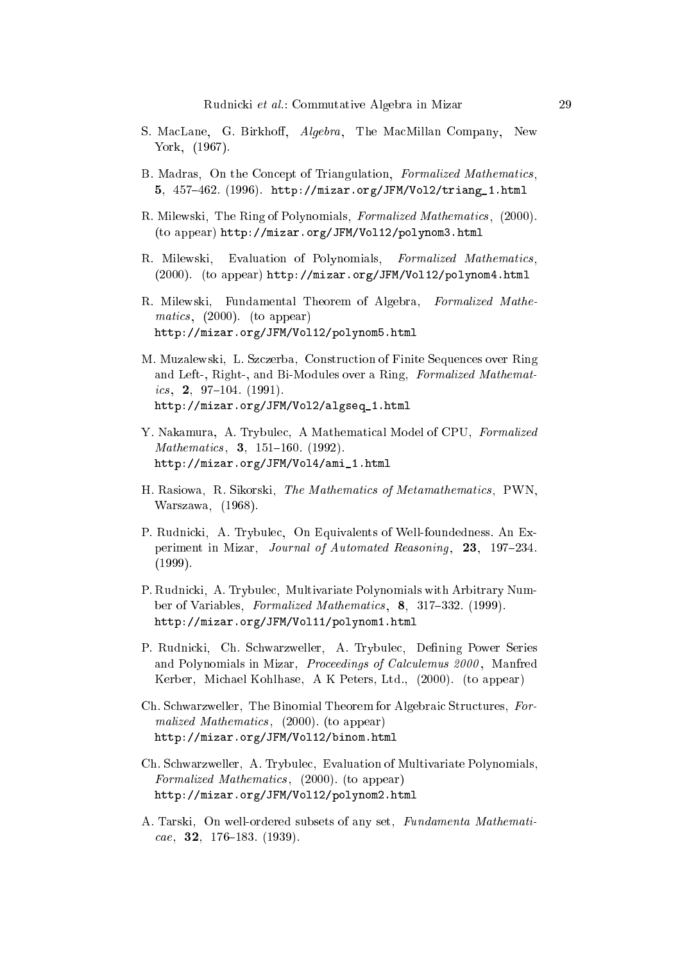- S. MacLane, G. Birkhoff, Algebra, The MacMillan Company, New York, (1967).
- B. Madras, On the Concept of Triangulation, Formalized Mathematics, 5,  $457-462$ . (1996). http://mizar.org/JFM/Vol2/triang\_1.html
- R. Milewski, The Ring of Polynomials, Formalized Mathematics, (2000). (to appear) http://mizar.org/JFM/Vol12/polynom3.html
- R. Milewski, Evaluation of Polynomials, Formalized Mathematics, (2000). (to appear) http://mizar.org/JFM/Vol12/polynom4.html
- R. Milewski, Fundamental Theorem of Algebra, Formalized Mathematics,  $(2000)$ . (to appear) http://mizar.org/JFM/Vol12/polynom5.html
- M. Muzalewski, L. Sz
zerba, Constru
tion of Finite Sequen
es over Ring and Left-, Right-, and Bi-Modules over a Ring, Formalized Mathemat*ics*, **2**, 97-104. (1991). http://mizar.org/JFM/Vol2/algseq\_1.html
- Y. Nakamura, A. Trybulec, A Mathematical Model of CPU, Formalized  $Mathematics, 3, 151–160. (1992).$ http://mizar.org/JFM/Vol4/ami\_1.html
- H. Rasiowa, R. Sikorski, The Mathematics of Metamathematics, PWN, Warszawa, (1968).
- P. Rudnicki, A. Trybulec. On Equivalents of Well-foundedness. An Experiment in Mizar, Journal of Automated Reasoning, 23, 197-234. (1999).
- P. Rudnicki, A. Trybulec, Multivariate Polynomials with Arbitrary Number of Variables, Formalized Mathematics,  $8, 317-332.$  (1999). http://mizar.org/JFM/Vol11/polynom1.html
- P. Rudnicki, Ch. Schwarzweller, A. Trybulec, Defining Power Series and Polynomials in Mizar, *Proceedings of Calculemus 2000*, Manfred Kerber, Mi
hael Kohlhase, A K Peters, Ltd., (2000). (to appear)
- Ch. Schwarzweller, The Binomial Theorem for Algebraic Structures, Formalized Mathematics,  $(2000)$ . (to appear) http://mizar.org/JFM/Vol12/binom.html
- Ch. S
hwarzweller, A. Trybule
, Evaluation of Multivariate Polynomials, Formalized Mathematics, (2000). (to appear) http://mizar.org/JFM/Vol12/polynom2.html
- A. Tarski, On well-ordered subsets of any set, Fundamenta Mathemati  $cae$ , **32**, 176-183. (1939).